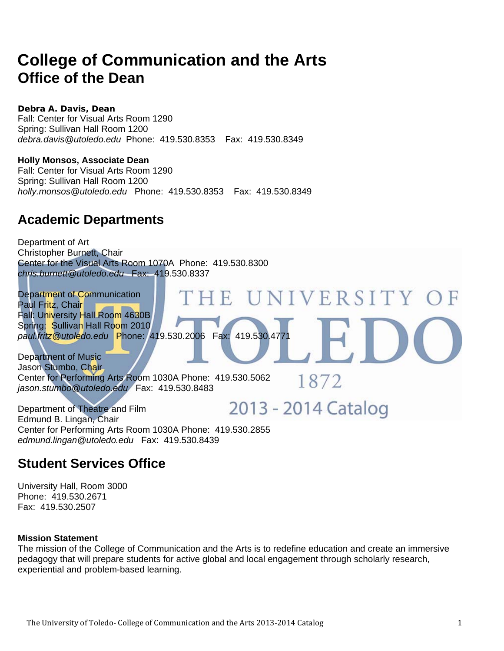### **College of Communication and the Arts Office of the Dean**

**Debra A. Davis, Dean** 

Fall: Center for Visual Arts Room 1290 Spring: Sullivan Hall Room 1200 *debra.davis@utoledo.edu* Phone: 419.530.8353 Fax: 419.530.8349

**Holly Monsos, Associate Dean**  Fall: Center for Visual Arts Room 1290

Spring: Sullivan Hall Room 1200 *holly.monsos@utoledo.edu* Phone: 419.530.8353 Fax: 419.530.8349

### **Academic Departments**

Department of Art Christopher Burnett, Chair Center for the Visual Arts Room 1070A Phone: 419.530.8300 *chris.burnett@utoledo.edu* Fax: 419.530.8337

THE UNIVERSITY OF Department of Communication Paul Fritz, Chair Fall: University Hall Room 4630B Spring: Sullivan Hall Room 2010 *paul.fritz@utoledo.edu* Phone: 419.530.2006 Fax: 419.530.4771

Department of Music Jason Stumbo, Chair Center for Performing Arts Room 1030A Phone: 419.530.5062 *jason.stumbo@utoledo.edu* Fax: 419.530.8483

2013 - 2014 Catalog Department of Theatre and Film Edmund B. Lingan, Chair Center for Performing Arts Room 1030A Phone: 419.530.2855 *edmund.lingan@utoledo.edu* Fax: 419.530.8439

### **Student Services Office**

University Hall, Room 3000 Phone: 419.530.2671 Fax: 419.530.2507

#### **Mission Statement**

The mission of the College of Communication and the Arts is to redefine education and create an immersive pedagogy that will prepare students for active global and local engagement through scholarly research, experiential and problem-based learning.

1872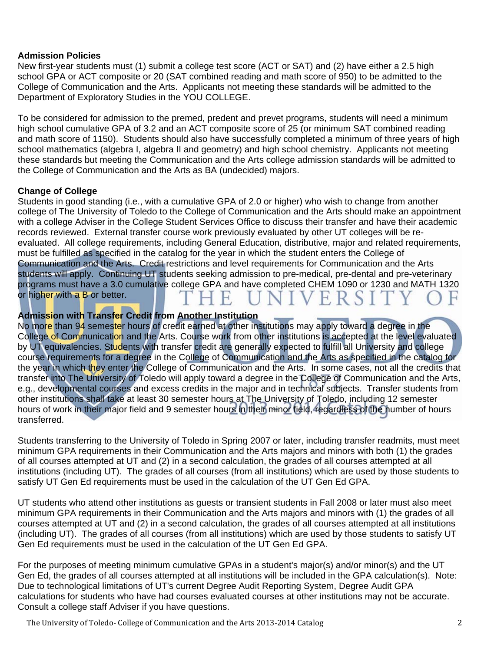#### **Admission Policies**

New first-year students must (1) submit a college test score (ACT or SAT) and (2) have either a 2.5 high school GPA or ACT composite or 20 (SAT combined reading and math score of 950) to be admitted to the College of Communication and the Arts. Applicants not meeting these standards will be admitted to the Department of Exploratory Studies in the YOU COLLEGE.

To be considered for admission to the premed, predent and prevet programs, students will need a minimum high school cumulative GPA of 3.2 and an ACT composite score of 25 (or minimum SAT combined reading and math score of 1150). Students should also have successfully completed a minimum of three years of high school mathematics (algebra I, algebra II and geometry) and high school chemistry. Applicants not meeting these standards but meeting the Communication and the Arts college admission standards will be admitted to the College of Communication and the Arts as BA (undecided) majors.

#### **Change of College**

Students in good standing (i.e., with a cumulative GPA of 2.0 or higher) who wish to change from another college of The University of Toledo to the College of Communication and the Arts should make an appointment with a college Adviser in the College Student Services Office to discuss their transfer and have their academic records reviewed. External transfer course work previously evaluated by other UT colleges will be reevaluated. All college requirements, including General Education, distributive, major and related requirements, must be fulfilled as specified in the catalog for the year in which the student enters the College of Communication and the Arts. Credit restrictions and level requirements for Communication and the Arts students will apply. Continuing UT students seeking admission to pre-medical, pre-dental and pre-veterinary programs must have a 3.0 cumulative college GPA and have completed CHEM 1090 or 1230 and MATH 1320 or higher with a B or better.

#### **Admission with Transfer Credit from Another Institution**

No more than 94 semester hours of credit earned at other institutions may apply toward a degree in the College of Communication and the Arts. Course work from other institutions is accepted at the level evaluated by UT equivalencies. Students with transfer credit are generally expected to fulfill all University and college course requirements for a degree in the College of Communication and the Arts as specified in the catalog for the year in which they enter the College of Communication and the Arts. In some cases, not all the credits that transfer into The University of Toledo will apply toward a degree in the College of Communication and the Arts, e.g., developmental courses and excess credits in the major and in technical subjects. Transfer students from other institutions shall take at least 30 semester hours at The University of Toledo, including 12 semester hours of work in their major field and 9 semester hours in their minor field, regardless of the number of hours transferred.

Students transferring to the University of Toledo in Spring 2007 or later, including transfer readmits, must meet minimum GPA requirements in their Communication and the Arts majors and minors with both (1) the grades of all courses attempted at UT and (2) in a second calculation, the grades of all courses attempted at all institutions (including UT). The grades of all courses (from all institutions) which are used by those students to satisfy UT Gen Ed requirements must be used in the calculation of the UT Gen Ed GPA.

UT students who attend other institutions as guests or transient students in Fall 2008 or later must also meet minimum GPA requirements in their Communication and the Arts majors and minors with (1) the grades of all courses attempted at UT and (2) in a second calculation, the grades of all courses attempted at all institutions (including UT). The grades of all courses (from all institutions) which are used by those students to satisfy UT Gen Ed requirements must be used in the calculation of the UT Gen Ed GPA.

For the purposes of meeting minimum cumulative GPAs in a student's major(s) and/or minor(s) and the UT Gen Ed, the grades of all courses attempted at all institutions will be included in the GPA calculation(s). Note: Due to technological limitations of UT's current Degree Audit Reporting System, Degree Audit GPA calculations for students who have had courses evaluated courses at other institutions may not be accurate. Consult a college staff Adviser if you have questions.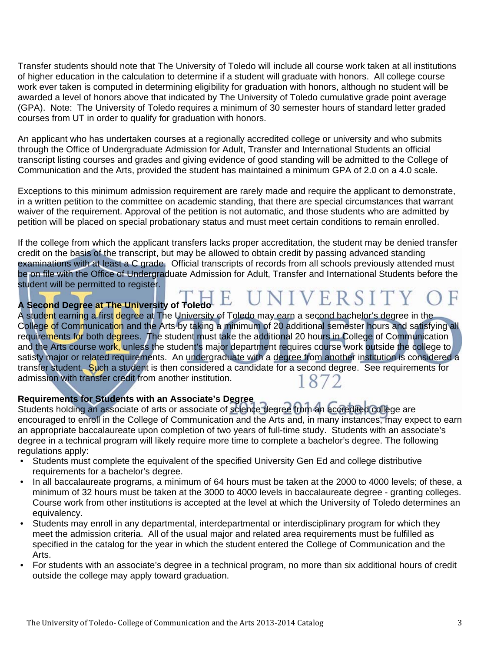Transfer students should note that The University of Toledo will include all course work taken at all institutions of higher education in the calculation to determine if a student will graduate with honors. All college course work ever taken is computed in determining eligibility for graduation with honors, although no student will be awarded a level of honors above that indicated by The University of Toledo cumulative grade point average (GPA). Note: The University of Toledo requires a minimum of 30 semester hours of standard letter graded courses from UT in order to qualify for graduation with honors.

An applicant who has undertaken courses at a regionally accredited college or university and who submits through the Office of Undergraduate Admission for Adult, Transfer and International Students an official transcript listing courses and grades and giving evidence of good standing will be admitted to the College of Communication and the Arts, provided the student has maintained a minimum GPA of 2.0 on a 4.0 scale.

Exceptions to this minimum admission requirement are rarely made and require the applicant to demonstrate, in a written petition to the committee on academic standing, that there are special circumstances that warrant waiver of the requirement. Approval of the petition is not automatic, and those students who are admitted by petition will be placed on special probationary status and must meet certain conditions to remain enrolled.

If the college from which the applicant transfers lacks proper accreditation, the student may be denied transfer credit on the basis of the transcript, but may be allowed to obtain credit by passing advanced standing examinations with at least a C grade. Official transcripts of records from all schools previously attended must be on file with the Office of Undergraduate Admission for Adult, Transfer and International Students before the student will be permitted to register.

# **A Second Degree at The University of Toledo**  $E$   $UNIVE R S I T Y$

A student earning a first degree at The University of Toledo may earn a second bachelor's degree in the College of Communication and the Arts by taking a minimum of 20 additional semester hours and satisfying all requirements for both degrees. The student must take the additional 20 hours in College of Communication and the Arts course work, unless the student's major department requires course work outside the college to satisfy major or related requirements. An undergraduate with a degree from another institution is considered a transfer student. Such a student is then considered a candidate for a second degree. See requirements for admission with transfer credit from another institution. 1872

#### **Requirements for Students with an Associate's Degree**

Students holding an associate of arts or associate of science degree from an accredited college are encouraged to enroll in the College of Communication and the Arts and, in many instances, may expect to earn an appropriate baccalaureate upon completion of two years of full-time study. Students with an associate's degree in a technical program will likely require more time to complete a bachelor's degree. The following regulations apply:

- Students must complete the equivalent of the specified University Gen Ed and college distributive requirements for a bachelor's degree.
- In all baccalaureate programs, a minimum of 64 hours must be taken at the 2000 to 4000 levels; of these, a minimum of 32 hours must be taken at the 3000 to 4000 levels in baccalaureate degree - granting colleges. Course work from other institutions is accepted at the level at which the University of Toledo determines an equivalency.
- Students may enroll in any departmental, interdepartmental or interdisciplinary program for which they meet the admission criteria. All of the usual major and related area requirements must be fulfilled as specified in the catalog for the year in which the student entered the College of Communication and the Arts.
- For students with an associate's degree in a technical program, no more than six additional hours of credit outside the college may apply toward graduation.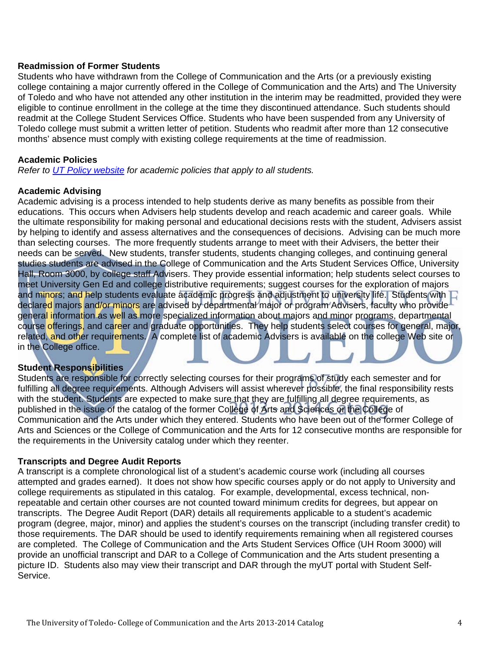#### **Readmission of Former Students**

Students who have withdrawn from the College of Communication and the Arts (or a previously existing college containing a major currently offered in the College of Communication and the Arts) and The University of Toledo and who have not attended any other institution in the interim may be readmitted, provided they were eligible to continue enrollment in the college at the time they discontinued attendance. Such students should readmit at the College Student Services Office. Students who have been suspended from any University of Toledo college must submit a written letter of petition. Students who readmit after more than 12 consecutive months' absence must comply with existing college requirements at the time of readmission.

#### **Academic Policies**

*Refer to UT Policy website for academic policies that apply to all students.*

#### **Academic Advising**

Academic advising is a process intended to help students derive as many benefits as possible from their educations. This occurs when Advisers help students develop and reach academic and career goals. While the ultimate responsibility for making personal and educational decisions rests with the student, Advisers assist by helping to identify and assess alternatives and the consequences of decisions. Advising can be much more than selecting courses. The more frequently students arrange to meet with their Advisers, the better their needs can be served. New students, transfer students, students changing colleges, and continuing general studies students are advised in the College of Communication and the Arts Student Services Office, University Hall, Room 3000, by college staff Advisers. They provide essential information; help students select courses to meet University Gen Ed and college distributive requirements; suggest courses for the exploration of majors and minors; and help students evaluate academic progress and adjustment to university life. Students with  $\Box$ declared majors and/or minors are advised by departmental major or program Advisers, faculty who provide general information as well as more specialized information about majors and minor programs, departmental course offerings, and career and graduate opportunities. They help students select courses for general, major, related, and other requirements. A complete list of academic Advisers is available on the college Web site or in the College office.

#### **Student Responsibilities**

Students are responsible for correctly selecting courses for their programs of study each semester and for fulfilling all degree requirements. Although Advisers will assist wherever possible, the final responsibility rests with the student. Students are expected to make sure that they are fulfilling all degree requirements, as published in the issue of the catalog of the former College of Arts and Sciences or the College of Communication and the Arts under which they entered. Students who have been out of the former College of Arts and Sciences or the College of Communication and the Arts for 12 consecutive months are responsible for the requirements in the University catalog under which they reenter.

#### **Transcripts and Degree Audit Reports**

A transcript is a complete chronological list of a student's academic course work (including all courses attempted and grades earned). It does not show how specific courses apply or do not apply to University and college requirements as stipulated in this catalog. For example, developmental, excess technical, nonrepeatable and certain other courses are not counted toward minimum credits for degrees, but appear on transcripts. The Degree Audit Report (DAR) details all requirements applicable to a student's academic program (degree, major, minor) and applies the student's courses on the transcript (including transfer credit) to those requirements. The DAR should be used to identify requirements remaining when all registered courses are completed. The College of Communication and the Arts Student Services Office (UH Room 3000) will provide an unofficial transcript and DAR to a College of Communication and the Arts student presenting a picture ID. Students also may view their transcript and DAR through the myUT portal with Student Self-Service.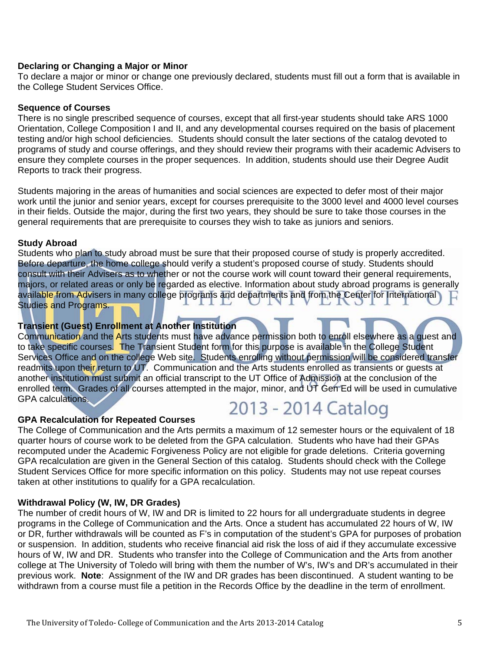#### **Declaring or Changing a Major or Minor**

To declare a major or minor or change one previously declared, students must fill out a form that is available in the College Student Services Office.

#### **Sequence of Courses**

There is no single prescribed sequence of courses, except that all first-year students should take ARS 1000 Orientation, College Composition I and II, and any developmental courses required on the basis of placement testing and/or high school deficiencies. Students should consult the later sections of the catalog devoted to programs of study and course offerings, and they should review their programs with their academic Advisers to ensure they complete courses in the proper sequences. In addition, students should use their Degree Audit Reports to track their progress.

Students majoring in the areas of humanities and social sciences are expected to defer most of their major work until the junior and senior years, except for courses prerequisite to the 3000 level and 4000 level courses in their fields. Outside the major, during the first two years, they should be sure to take those courses in the general requirements that are prerequisite to courses they wish to take as juniors and seniors.

#### **Study Abroad**

Students who plan to study abroad must be sure that their proposed course of study is properly accredited. Before departure, the home college should verify a student's proposed course of study. Students should consult with their Advisers as to whether or not the course work will count toward their general requirements, majors, or related areas or only be regarded as elective. Information about study abroad programs is generally available from Advisers in many college programs and departments and from the Center for International Studies and Programs.

#### **Transient (Guest) Enrollment at Another Institution**

Communication and the Arts students must have advance permission both to enroll elsewhere as a quest and to take specific courses. The Transient Student form for this purpose is available in the College Student Services Office and on the college Web site. Students enrolling without permission will be considered transfer readmits upon their return to UT. Communication and the Arts students enrolled as transients or guests at another institution must submit an official transcript to the UT Office of Admission at the conclusion of the enrolled term. Grades of all courses attempted in the major, minor, and UT Gen Ed will be used in cumulative GPA calculations. 2013 - 2014 Catalog

#### **GPA Recalculation for Repeated Courses**

The College of Communication and the Arts permits a maximum of 12 semester hours or the equivalent of 18 quarter hours of course work to be deleted from the GPA calculation. Students who have had their GPAs recomputed under the Academic Forgiveness Policy are not eligible for grade deletions. Criteria governing GPA recalculation are given in the General Section of this catalog. Students should check with the College Student Services Office for more specific information on this policy. Students may not use repeat courses taken at other institutions to qualify for a GPA recalculation.

#### **Withdrawal Policy (W, IW, DR Grades)**

The number of credit hours of W, IW and DR is limited to 22 hours for all undergraduate students in degree programs in the College of Communication and the Arts. Once a student has accumulated 22 hours of W, IW or DR, further withdrawals will be counted as F's in computation of the student's GPA for purposes of probation or suspension. In addition, students who receive financial aid risk the loss of aid if they accumulate excessive hours of W, IW and DR. Students who transfer into the College of Communication and the Arts from another college at The University of Toledo will bring with them the number of W's, IW's and DR's accumulated in their previous work. **Note**: Assignment of the IW and DR grades has been discontinued. A student wanting to be withdrawn from a course must file a petition in the Records Office by the deadline in the term of enrollment.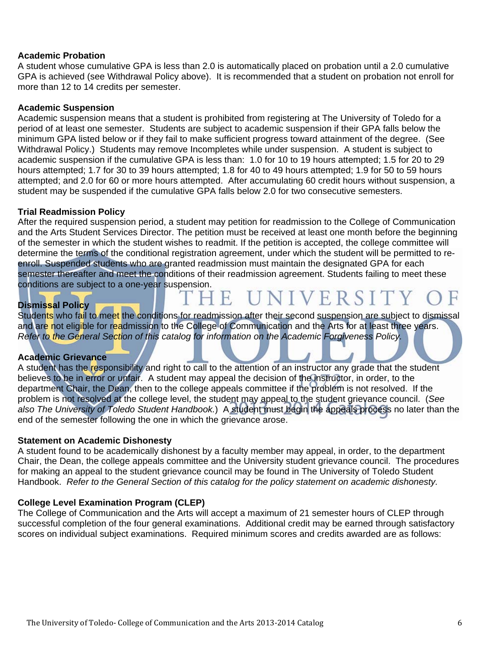#### **Academic Probation**

A student whose cumulative GPA is less than 2.0 is automatically placed on probation until a 2.0 cumulative GPA is achieved (see Withdrawal Policy above). It is recommended that a student on probation not enroll for more than 12 to 14 credits per semester.

#### **Academic Suspension**

Academic suspension means that a student is prohibited from registering at The University of Toledo for a period of at least one semester. Students are subject to academic suspension if their GPA falls below the minimum GPA listed below or if they fail to make sufficient progress toward attainment of the degree. (See Withdrawal Policy.) Students may remove Incompletes while under suspension. A student is subject to academic suspension if the cumulative GPA is less than: 1.0 for 10 to 19 hours attempted; 1.5 for 20 to 29 hours attempted; 1.7 for 30 to 39 hours attempted; 1.8 for 40 to 49 hours attempted; 1.9 for 50 to 59 hours attempted; and 2.0 for 60 or more hours attempted. After accumulating 60 credit hours without suspension, a student may be suspended if the cumulative GPA falls below 2.0 for two consecutive semesters.

#### **Trial Readmission Policy**

After the required suspension period, a student may petition for readmission to the College of Communication and the Arts Student Services Director. The petition must be received at least one month before the beginning of the semester in which the student wishes to readmit. If the petition is accepted, the college committee will determine the terms of the conditional registration agreement, under which the student will be permitted to reenroll. Suspended students who are granted readmission must maintain the designated GPA for each semester thereafter and meet the conditions of their readmission agreement. Students failing to meet these conditions are subject to a one-year suspension.

#### **Dismissal Policy**

Students who fail to meet the conditions for readmission after their second suspension are subject to dismissal and are not eligible for readmission to the College of Communication and the Arts for at least three years. *Refer to the General Section of this catalog for information on the Academic Forgiveness Policy.* 

UNIVERSITY

#### **Academic Grievance**

A student has the responsibility and right to call to the attention of an instructor any grade that the student believes to be in error or unfair. A student may appeal the decision of the instructor, in order, to the department Chair, the Dean, then to the college appeals committee if the problem is not resolved. If the problem is not resolved at the college level, the student may appeal to the student grievance council. (*See also The University of Toledo Student Handbook.*) A student must begin the appeals process no later than the end of the semester following the one in which the grievance arose.

#### **Statement on Academic Dishonesty**

A student found to be academically dishonest by a faculty member may appeal, in order, to the department Chair, the Dean, the college appeals committee and the University student grievance council. The procedures for making an appeal to the student grievance council may be found in The University of Toledo Student Handbook. *Refer to the General Section of this catalog for the policy statement on academic dishonesty.* 

#### **College Level Examination Program (CLEP)**

The College of Communication and the Arts will accept a maximum of 21 semester hours of CLEP through successful completion of the four general examinations. Additional credit may be earned through satisfactory scores on individual subject examinations. Required minimum scores and credits awarded are as follows: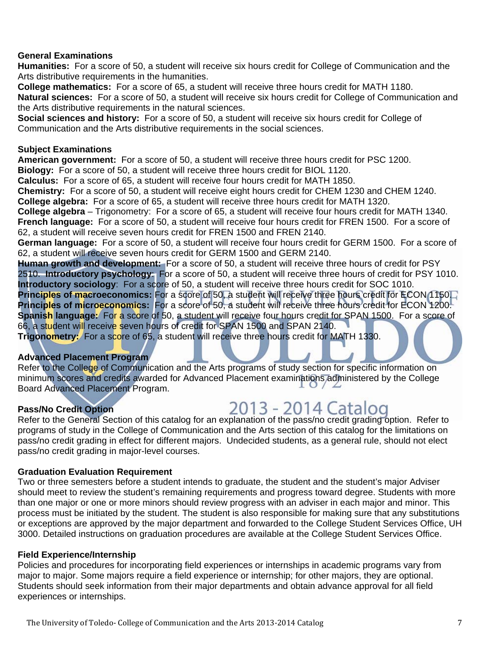#### **General Examinations**

**Humanities:** For a score of 50, a student will receive six hours credit for College of Communication and the Arts distributive requirements in the humanities.

**College mathematics:** For a score of 65, a student will receive three hours credit for MATH 1180. **Natural sciences:** For a score of 50, a student will receive six hours credit for College of Communication and the Arts distributive requirements in the natural sciences.

**Social sciences and history:** For a score of 50, a student will receive six hours credit for College of Communication and the Arts distributive requirements in the social sciences.

#### **Subject Examinations**

**American government:** For a score of 50, a student will receive three hours credit for PSC 1200.

**Biology:** For a score of 50, a student will receive three hours credit for BIOL 1120.

**Calculus:** For a score of 65, a student will receive four hours credit for MATH 1850.

**Chemistry:** For a score of 50, a student will receive eight hours credit for CHEM 1230 and CHEM 1240. **College algebra:** For a score of 65, a student will receive three hours credit for MATH 1320.

**College algebra** – Trigonometry: For a score of 65, a student will receive four hours credit for MATH 1340. **French language:** For a score of 50, a student will receive four hours credit for FREN 1500. For a score of

62, a student will receive seven hours credit for FREN 1500 and FREN 2140.

**German language:** For a score of 50, a student will receive four hours credit for GERM 1500. For a score of 62, a student will receive seven hours credit for GERM 1500 and GERM 2140.

**Human growth and development:** For a score of 50, a student will receive three hours of credit for PSY 2510. **Introductory psychology**: For a score of 50, a student will receive three hours of credit for PSY 1010. **Introductory sociology**: For a score of 50, a student will receive three hours credit for SOC 1010.

**Principles of macroeconomics:** For a score of 50, a student will receive three hours credit for ECON 1150. **Principles of microeconomics:** For a score of 50, a student will receive three hours credit for ECON 1200. **Spanish language:** For a score of 50, a student will receive four hours credit for SPAN 1500. For a score of 66, a student will receive seven hours of credit for SPAN 1500 and SPAN 2140.

**Trigonometry:** For a score of 65, a student will receive three hours credit for MATH 1330.

#### **Advanced Placement Program**

Refer to the College of Communication and the Arts programs of study section for specific information on minimum scores and credits awarded for Advanced Placement examinations administered by the College Board Advanced Placement Program.

#### **Pass/No Credit Option**

**Pass/No Credit Option**<br>Refer to the General Section of this catalog for an explanation of the pass/no credit grading option. Refer to programs of study in the College of Communication and the Arts section of this catalog for the limitations on pass/no credit grading in effect for different majors. Undecided students, as a general rule, should not elect pass/no credit grading in major-level courses.

#### **Graduation Evaluation Requirement**

Two or three semesters before a student intends to graduate, the student and the student's major Adviser should meet to review the student's remaining requirements and progress toward degree. Students with more than one major or one or more minors should review progress with an adviser in each major and minor. This process must be initiated by the student. The student is also responsible for making sure that any substitutions or exceptions are approved by the major department and forwarded to the College Student Services Office, UH 3000. Detailed instructions on graduation procedures are available at the College Student Services Office.

#### **Field Experience/Internship**

Policies and procedures for incorporating field experiences or internships in academic programs vary from major to major. Some majors require a field experience or internship; for other majors, they are optional. Students should seek information from their major departments and obtain advance approval for all field experiences or internships.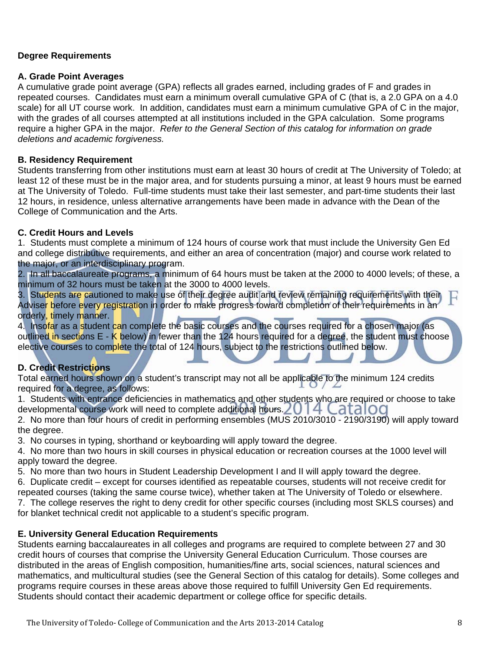#### **Degree Requirements**

#### **A. Grade Point Averages**

A cumulative grade point average (GPA) reflects all grades earned, including grades of F and grades in repeated courses. Candidates must earn a minimum overall cumulative GPA of C (that is, a 2.0 GPA on a 4.0 scale) for all UT course work. In addition, candidates must earn a minimum cumulative GPA of C in the major, with the grades of all courses attempted at all institutions included in the GPA calculation. Some programs require a higher GPA in the major. *Refer to the General Section of this catalog for information on grade deletions and academic forgiveness.* 

#### **B. Residency Requirement**

Students transferring from other institutions must earn at least 30 hours of credit at The University of Toledo; at least 12 of these must be in the major area, and for students pursuing a minor, at least 9 hours must be earned at The University of Toledo. Full-time students must take their last semester, and part-time students their last 12 hours, in residence, unless alternative arrangements have been made in advance with the Dean of the College of Communication and the Arts.

#### **C. Credit Hours and Levels**

1. Students must complete a minimum of 124 hours of course work that must include the University Gen Ed and college distributive requirements, and either an area of concentration (major) and course work related to the major, or an interdisciplinary program.

2. In all baccalaureate programs, a minimum of 64 hours must be taken at the 2000 to 4000 levels; of these, a minimum of 32 hours must be taken at the 3000 to 4000 levels.

3. Students are cautioned to make use of their degree audit and review remaining requirements with their Adviser before every registration in order to make progress toward completion of their requirements in an orderly, timely manner.

4. Insofar as a student can complete the basic courses and the courses required for a chosen major (as outlined in sections E - K below) in fewer than the 124 hours required for a degree, the student must choose elective courses to complete the total of 124 hours, subject to the restrictions outlined below.

#### **D. Credit Restrictions**

Total earned hours shown on a student's transcript may not all be applicable to the minimum 124 credits required for a degree, as follows:

1. Students with entrance deficiencies in mathematics and other students who are required or choose to take developmental course work will need to complete additional hours. 2014 Catalog

2. No more than four hours of credit in performing ensembles (MUS 2010/3010 - 2190/3190) will apply toward the degree.

3. No courses in typing, shorthand or keyboarding will apply toward the degree.

4. No more than two hours in skill courses in physical education or recreation courses at the 1000 level will apply toward the degree.

5. No more than two hours in Student Leadership Development I and II will apply toward the degree.

6. Duplicate credit – except for courses identified as repeatable courses, students will not receive credit for repeated courses (taking the same course twice), whether taken at The University of Toledo or elsewhere.

7. The college reserves the right to deny credit for other specific courses (including most SKLS courses) and for blanket technical credit not applicable to a student's specific program.

#### **E. University General Education Requirements**

Students earning baccalaureates in all colleges and programs are required to complete between 27 and 30 credit hours of courses that comprise the University General Education Curriculum. Those courses are distributed in the areas of English composition, humanities/fine arts, social sciences, natural sciences and mathematics, and multicultural studies (see the General Section of this catalog for details). Some colleges and programs require courses in these areas above those required to fulfill University Gen Ed requirements. Students should contact their academic department or college office for specific details.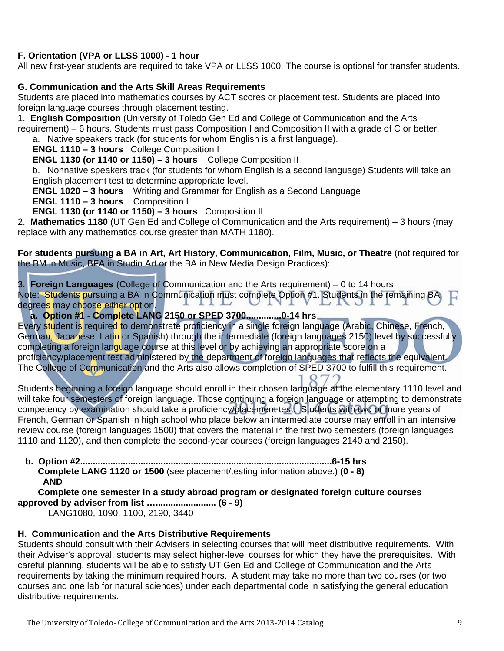#### **F. Orientation (VPA or LLSS 1000) - 1 hour**

All new first-year students are required to take VPA or LLSS 1000. The course is optional for transfer students.

#### **G. Communication and the Arts Skill Areas Requirements**

Students are placed into mathematics courses by ACT scores or placement test. Students are placed into foreign language courses through placement testing.

1. **English Composition** (University of Toledo Gen Ed and College of Communication and the Arts requirement) – 6 hours. Students must pass Composition I and Composition II with a grade of C or better. a. Native speakers track (for students for whom English is a first language).

**ENGL 1110 – 3 hours** College Composition I

**ENGL 1130 (or 1140 or 1150) – 3 hours** College Composition II

b. Nonnative speakers track (for students for whom English is a second language) Students will take an English placement test to determine appropriate level.

**ENGL 1020 – 3 hours** Writing and Grammar for English as a Second Language

**ENGL 1110 – 3 hours** Composition I

**ENGL 1130 (or 1140 or 1150) – 3 hours** Composition II

2. **Mathematics 1180** (UT Gen Ed and College of Communication and the Arts requirement) – 3 hours (may replace with any mathematics course greater than MATH 1180).

**For students pursuing a BA in Art, Art History, Communication, Film, Music, or Theatre** (not required for the BM in Music, BFA in Studio Art or the BA in New Media Design Practices):

3. **Foreign Languages** (College of Communication and the Arts requirement) – 0 to 14 hours Note: Students pursuing a BA in Communication must complete Option #1. Students in the remaining BA н degrees may choose either option.

**a. Option #1 - Complete LANG 2150 or SPED 3700..............0-14 hrs** 

Every student is required to demonstrate proficiency in a single foreign language (Arabic, Chinese, French, German, Japanese, Latin or Spanish) through the intermediate (foreign languages 2150) level by successfully completing a foreign language course at this level or by achieving an appropriate score on a proficiency/placement test administered by the department of foreign languages that reflects the equivalent. The College of Communication and the Arts also allows completion of SPED 3700 to fulfill this requirement.

Students beginning a foreign language should enroll in their chosen language at the elementary 1110 level and will take four semesters of foreign language. Those continuing a foreign language or attempting to demonstrate competency by examination should take a proficiency/placement test. Students with two or more years of French, German or Spanish in high school who place below an intermediate course may enroll in an intensive review course (foreign languages 1500) that covers the material in the first two semesters (foreign languages 1110 and 1120), and then complete the second-year courses (foreign languages 2140 and 2150).

 **b. Option #2....................................................................................................6-15 hrs Complete LANG 1120 or 1500** (see placement/testing information above.) **(0 - 8) AND** 

 **Complete one semester in a study abroad program or designated foreign culture courses approved by adviser from list …........................ (6 - 9)** 

LANG1080, 1090, 1100, 2190, 3440

#### **H. Communication and the Arts Distributive Requirements**

Students should consult with their Advisers in selecting courses that will meet distributive requirements. With their Adviser's approval, students may select higher-level courses for which they have the prerequisites. With careful planning, students will be able to satisfy UT Gen Ed and College of Communication and the Arts requirements by taking the minimum required hours. A student may take no more than two courses (or two courses and one lab for natural sciences) under each departmental code in satisfying the general education distributive requirements.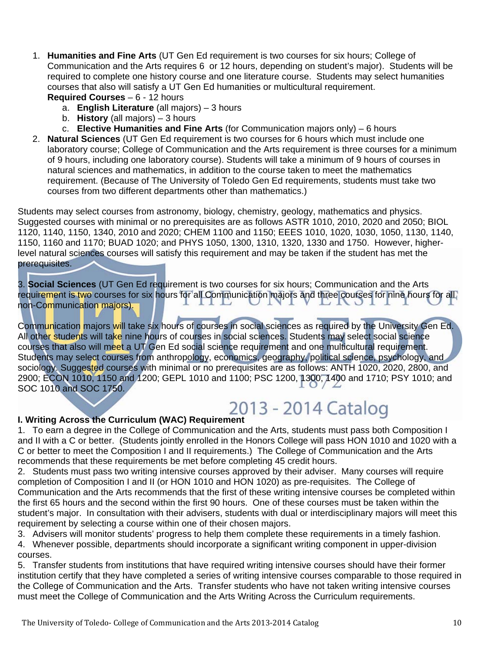- 1. **Humanities and Fine Arts** (UT Gen Ed requirement is two courses for six hours; College of Communication and the Arts requires 6 or 12 hours, depending on student's major). Students will be required to complete one history course and one literature course. Students may select humanities courses that also will satisfy a UT Gen Ed humanities or multicultural requirement. **Required Courses** – 6 - 12 hours
	- a. **English Literature** (all majors) 3 hours
	- b. **History** (all majors) 3 hours
	- c. **Elective Humanities and Fine Arts** (for Communication majors only) 6 hours
- 2. **Natural Sciences** (UT Gen Ed requirement is two courses for 6 hours which must include one laboratory course; College of Communication and the Arts requirement is three courses for a minimum of 9 hours, including one laboratory course). Students will take a minimum of 9 hours of courses in natural sciences and mathematics, in addition to the course taken to meet the mathematics requirement. (Because of The University of Toledo Gen Ed requirements, students must take two courses from two different departments other than mathematics.)

Students may select courses from astronomy, biology, chemistry, geology, mathematics and physics. Suggested courses with minimal or no prerequisites are as follows ASTR 1010, 2010, 2020 and 2050; BIOL 1120, 1140, 1150, 1340, 2010 and 2020; CHEM 1100 and 1150; EEES 1010, 1020, 1030, 1050, 1130, 1140, 1150, 1160 and 1170; BUAD 1020; and PHYS 1050, 1300, 1310, 1320, 1330 and 1750. However, higherlevel natural sciences courses will satisfy this requirement and may be taken if the student has met the prerequisites. I

3. **Social Sciences** (UT Gen Ed requirement is two courses for six hours; Communication and the Arts requirement is two courses for six hours for all Communication majors and three courses for nine hours for all non-Communication majors).

Communication majors will take six hours of courses in social sciences as required by the University Gen Ed. All other students will take nine hours of courses in social sciences. Students may select social science courses that also will meet a UT Gen Ed social science requirement and one multicultural requirement. Students may select courses from anthropology, economics, geography, political science, psychology, and sociology. Suggested courses with minimal or no prerequisites are as follows: ANTH 1020, 2020, 2800, and 2900; ECON 1010, 1150 and 1200; GEPL 1010 and 1100; PSC 1200, 1300, 1400 and 1710; PSY 1010; and SOC 1010 and SOC 1750.

## **I. Writing Across the Curriculum (WAC) Requirement**

1. To earn a degree in the College of Communication and the Arts, students must pass both Composition I and II with a C or better. (Students jointly enrolled in the Honors College will pass HON 1010 and 1020 with a C or better to meet the Composition I and II requirements.) The College of Communication and the Arts recommends that these requirements be met before completing 45 credit hours.

2. Students must pass two writing intensive courses approved by their adviser. Many courses will require completion of Composition I and II (or HON 1010 and HON 1020) as pre-requisites. The College of Communication and the Arts recommends that the first of these writing intensive courses be completed within the first 65 hours and the second within the first 90 hours. One of these courses must be taken within the student's major. In consultation with their advisers, students with dual or interdisciplinary majors will meet this requirement by selecting a course within one of their chosen majors.

3. Advisers will monitor students' progress to help them complete these requirements in a timely fashion.

4. Whenever possible, departments should incorporate a significant writing component in upper-division courses.

5. Transfer students from institutions that have required writing intensive courses should have their former institution certify that they have completed a series of writing intensive courses comparable to those required in the College of Communication and the Arts. Transfer students who have not taken writing intensive courses must meet the College of Communication and the Arts Writing Across the Curriculum requirements.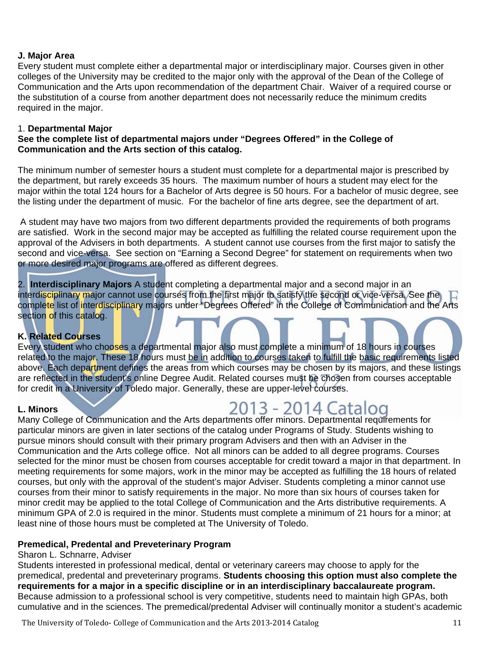#### **J. Major Area**

Every student must complete either a departmental major or interdisciplinary major. Courses given in other colleges of the University may be credited to the major only with the approval of the Dean of the College of Communication and the Arts upon recommendation of the department Chair. Waiver of a required course or the substitution of a course from another department does not necessarily reduce the minimum credits required in the major.

#### 1. **Departmental Major**

#### **See the complete list of departmental majors under "Degrees Offered" in the College of Communication and the Arts section of this catalog.**

The minimum number of semester hours a student must complete for a departmental major is prescribed by the department, but rarely exceeds 35 hours. The maximum number of hours a student may elect for the major within the total 124 hours for a Bachelor of Arts degree is 50 hours. For a bachelor of music degree, see the listing under the department of music. For the bachelor of fine arts degree, see the department of art.

 A student may have two majors from two different departments provided the requirements of both programs are satisfied. Work in the second major may be accepted as fulfilling the related course requirement upon the approval of the Advisers in both departments. A student cannot use courses from the first major to satisfy the second and vice-versa. See section on "Earning a Second Degree" for statement on requirements when two or more desired major programs are offered as different degrees.

2. **Interdisciplinary Majors** A student completing a departmental major and a second major in an interdisciplinary major cannot use courses from the first major to satisfy the second or vice-versa. See the complete list of interdisciplinary majors under "Degrees Offered" in the College of Communication and the Arts section of this catalog.

#### **K. Related Courses**

Every student who chooses a departmental major also must complete a minimum of 18 hours in courses related to the major. These 18 hours must be in addition to courses taken to fulfill the basic requirements listed above. Each department defines the areas from which courses may be chosen by its majors, and these listings are reflected in the student's online Degree Audit. Related courses must be chosen from courses acceptable for credit in a University of Toledo major. Generally, these are upper-level courses.

#### **L. Minors**

### L. Minors<br>Many College of Communication and the Arts departments offer minors. Departmental requirements for

particular minors are given in later sections of the catalog under Programs of Study. Students wishing to pursue minors should consult with their primary program Advisers and then with an Adviser in the Communication and the Arts college office. Not all minors can be added to all degree programs. Courses selected for the minor must be chosen from courses acceptable for credit toward a major in that department. In meeting requirements for some majors, work in the minor may be accepted as fulfilling the 18 hours of related courses, but only with the approval of the student's major Adviser. Students completing a minor cannot use courses from their minor to satisfy requirements in the major. No more than six hours of courses taken for minor credit may be applied to the total College of Communication and the Arts distributive requirements. A minimum GPA of 2.0 is required in the minor. Students must complete a minimum of 21 hours for a minor; at least nine of those hours must be completed at The University of Toledo.

#### **Premedical, Predental and Preveterinary Program**

#### Sharon L. Schnarre, Adviser

Students interested in professional medical, dental or veterinary careers may choose to apply for the premedical, predental and preveterinary programs. **Students choosing this option must also complete the requirements for a major in a specific discipline or in an interdisciplinary baccalaureate program.**  Because admission to a professional school is very competitive, students need to maintain high GPAs, both cumulative and in the sciences. The premedical/predental Adviser will continually monitor a student's academic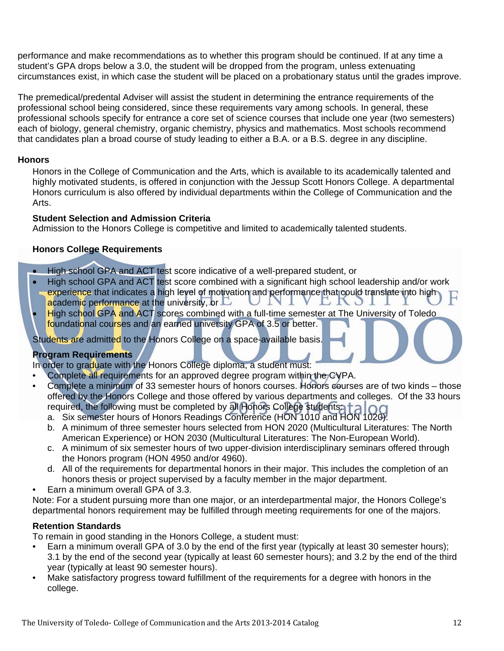performance and make recommendations as to whether this program should be continued. If at any time a student's GPA drops below a 3.0, the student will be dropped from the program, unless extenuating circumstances exist, in which case the student will be placed on a probationary status until the grades improve.

The premedical/predental Adviser will assist the student in determining the entrance requirements of the professional school being considered, since these requirements vary among schools. In general, these professional schools specify for entrance a core set of science courses that include one year (two semesters) each of biology, general chemistry, organic chemistry, physics and mathematics. Most schools recommend that candidates plan a broad course of study leading to either a B.A. or a B.S. degree in any discipline.

#### **Honors**

Honors in the College of Communication and the Arts, which is available to its academically talented and highly motivated students, is offered in conjunction with the Jessup Scott Honors College. A departmental Honors curriculum is also offered by individual departments within the College of Communication and the Arts.

#### **Student Selection and Admission Criteria**

Admission to the Honors College is competitive and limited to academically talented students.

#### **Honors College Requirements**

- High school GPA and ACT test score indicative of a well-prepared student, or
- High school GPA and ACT test score combined with a significant high school leadership and/or work experience that indicates a high level of motivation and performance that could translate into high UNI academic performance at the university, or  $\Box$ **LNJ**
- High school GPA and ACT scores combined with a full-time semester at The University of Toledo foundational courses and an earned university GPA of 3.5 or better.

Students are admitted to the Honors College on a space-available basis.

#### **Program Requirements**

In order to graduate with the Honors College diploma, a student must:

- Complete all requirements for an approved degree program within the CVPA.
- Complete a minimum of 33 semester hours of honors courses. Honors courses are of two kinds those offered by the Honors College and those offered by various departments and colleges. Of the 33 hours required, the following must be completed by all Honors College students:  $\|\cdot\|_1$ 
	- a. Six semester hours of Honors Readings Conference (HON 1010 and HON 1020).
	- b. A minimum of three semester hours selected from HON 2020 (Multicultural Literatures: The North American Experience) or HON 2030 (Multicultural Literatures: The Non-European World).
	- c. A minimum of six semester hours of two upper-division interdisciplinary seminars offered through the Honors program (HON 4950 and/or 4960).
	- d. All of the requirements for departmental honors in their major. This includes the completion of an honors thesis or project supervised by a faculty member in the major department.
- Earn a minimum overall GPA of 3.3.

Note: For a student pursuing more than one major, or an interdepartmental major, the Honors College's departmental honors requirement may be fulfilled through meeting requirements for one of the majors.

#### **Retention Standards**

To remain in good standing in the Honors College, a student must:

- Earn a minimum overall GPA of 3.0 by the end of the first year (typically at least 30 semester hours); 3.1 by the end of the second year (typically at least 60 semester hours); and 3.2 by the end of the third year (typically at least 90 semester hours).
- Make satisfactory progress toward fulfillment of the requirements for a degree with honors in the college.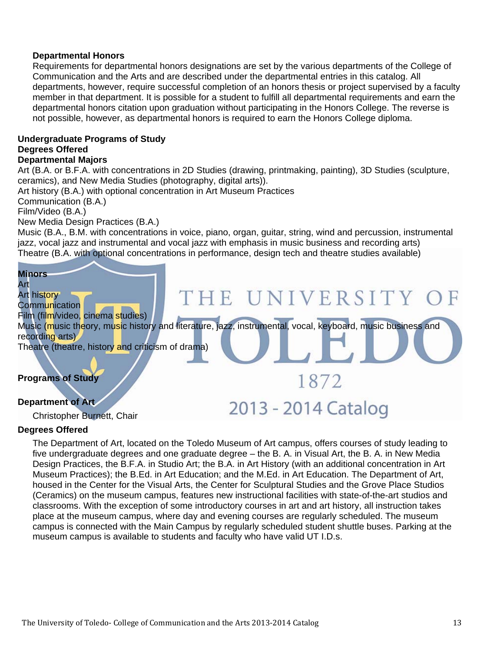#### **Departmental Honors**

Requirements for departmental honors designations are set by the various departments of the College of Communication and the Arts and are described under the departmental entries in this catalog. All departments, however, require successful completion of an honors thesis or project supervised by a faculty member in that department. It is possible for a student to fulfill all departmental requirements and earn the departmental honors citation upon graduation without participating in the Honors College. The reverse is not possible, however, as departmental honors is required to earn the Honors College diploma.

#### **Undergraduate Programs of Study Degrees Offered Departmental Majors**

Art (B.A. or B.F.A. with concentrations in 2D Studies (drawing, printmaking, painting), 3D Studies (sculpture, ceramics), and New Media Studies (photography, digital arts)).

Art history (B.A.) with optional concentration in Art Museum Practices

Communication (B.A.)

Film/Video (B.A.)

New Media Design Practices (B.A.)

Music (B.A., B.M. with concentrations in voice, piano, organ, guitar, string, wind and percussion, instrumental jazz, vocal jazz and instrumental and vocal jazz with emphasis in music business and recording arts) Theatre (B.A. with optional concentrations in performance, design tech and theatre studies available)



Christopher Burnett, Chair

#### **Degrees Offered**

 The Department of Art, located on the Toledo Museum of Art campus, offers courses of study leading to five undergraduate degrees and one graduate degree – the B. A. in Visual Art, the B. A. in New Media Design Practices, the B.F.A. in Studio Art; the B.A. in Art History (with an additional concentration in Art Museum Practices); the B.Ed. in Art Education; and the M.Ed. in Art Education. The Department of Art, housed in the Center for the Visual Arts, the Center for Sculptural Studies and the Grove Place Studios (Ceramics) on the museum campus, features new instructional facilities with state-of-the-art studios and classrooms. With the exception of some introductory courses in art and art history, all instruction takes place at the museum campus, where day and evening courses are regularly scheduled. The museum campus is connected with the Main Campus by regularly scheduled student shuttle buses. Parking at the museum campus is available to students and faculty who have valid UT I.D.s.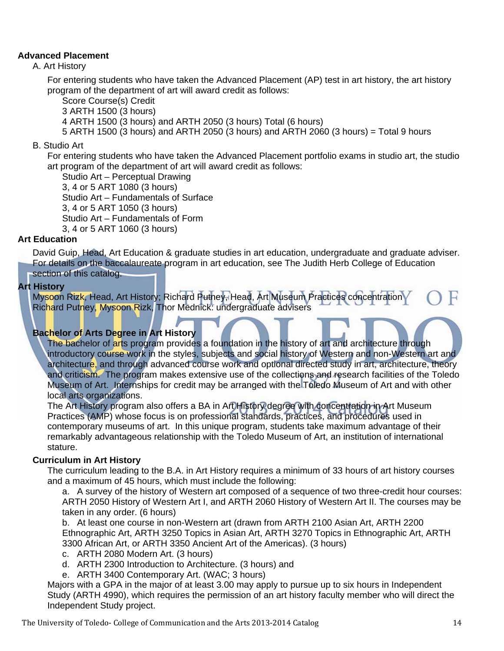#### **Advanced Placement**

A. Art History

 For entering students who have taken the Advanced Placement (AP) test in art history, the art history program of the department of art will award credit as follows:

Score Course(s) Credit

3 ARTH 1500 (3 hours)

4 ARTH 1500 (3 hours) and ARTH 2050 (3 hours) Total (6 hours)

5 ARTH 1500 (3 hours) and ARTH 2050 (3 hours) and ARTH 2060 (3 hours) = Total 9 hours

B. Studio Art

 For entering students who have taken the Advanced Placement portfolio exams in studio art, the studio art program of the department of art will award credit as follows:

 Studio Art – Perceptual Drawing 3, 4 or 5 ART 1080 (3 hours) Studio Art – Fundamentals of Surface 3, 4 or 5 ART 1050 (3 hours) Studio Art – Fundamentals of Form 3, 4 or 5 ART 1060 (3 hours)

#### **Art Education**

 David Guip, Head, Art Education & graduate studies in art education, undergraduate and graduate adviser. For details on the baccalaureate program in art education, see The Judith Herb College of Education section of this catalog.

#### **Art History**

 Mysoon Rizk, Head, Art History; Richard Putney, Head, Art Museum Practices concentration Richard Putney, Mysoon Rizk, Thor Mednick: undergraduate advisers

#### **Bachelor of Arts Degree in Art History**

The bachelor of arts program provides a foundation in the history of art and architecture through introductory course work in the styles, subjects and social history of Western and non-Western art and architecture, and through advanced course work and optional directed study in art, architecture, theory and criticism. The program makes extensive use of the collections and research facilities of the Toledo Museum of Art. Internships for credit may be arranged with the Toledo Museum of Art and with other local arts organizations.

 The Art History program also offers a BA in Art History degree with concentration in Art Museum Practices (AMP) whose focus is on professional standards, practices, and procedures used in contemporary museums of art. In this unique program, students take maximum advantage of their remarkably advantageous relationship with the Toledo Museum of Art, an institution of international stature.

#### **Curriculum in Art History**

 The curriculum leading to the B.A. in Art History requires a minimum of 33 hours of art history courses and a maximum of 45 hours, which must include the following:

 a. A survey of the history of Western art composed of a sequence of two three-credit hour courses: ARTH 2050 History of Western Art I, and ARTH 2060 History of Western Art II. The courses may be taken in any order. (6 hours)

 b. At least one course in non-Western art (drawn from ARTH 2100 Asian Art, ARTH 2200 Ethnographic Art, ARTH 3250 Topics in Asian Art, ARTH 3270 Topics in Ethnographic Art, ARTH 3300 African Art, or ARTH 3350 Ancient Art of the Americas). (3 hours)

- c. ARTH 2080 Modern Art. (3 hours)
- d. ARTH 2300 Introduction to Architecture. (3 hours) and
- e. ARTH 3400 Contemporary Art. (WAC; 3 hours)

 Majors with a GPA in the major of at least 3.00 may apply to pursue up to six hours in Independent Study (ARTH 4990), which requires the permission of an art history faculty member who will direct the Independent Study project.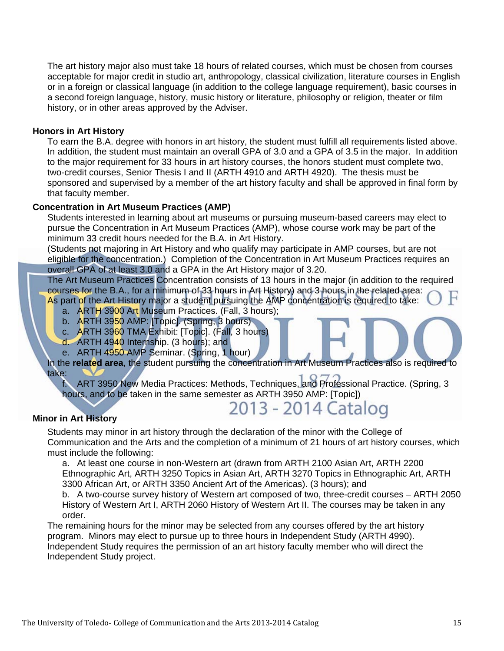The art history major also must take 18 hours of related courses, which must be chosen from courses acceptable for major credit in studio art, anthropology, classical civilization, literature courses in English or in a foreign or classical language (in addition to the college language requirement), basic courses in a second foreign language, history, music history or literature, philosophy or religion, theater or film history, or in other areas approved by the Adviser.

#### **Honors in Art History**

 To earn the B.A. degree with honors in art history, the student must fulfill all requirements listed above. In addition, the student must maintain an overall GPA of 3.0 and a GPA of 3.5 in the major. In addition to the major requirement for 33 hours in art history courses, the honors student must complete two, two-credit courses, Senior Thesis I and II (ARTH 4910 and ARTH 4920). The thesis must be sponsored and supervised by a member of the art history faculty and shall be approved in final form by that faculty member.

#### **Concentration in Art Museum Practices (AMP)**

 Students interested in learning about art museums or pursuing museum-based careers may elect to pursue the Concentration in Art Museum Practices (AMP), whose course work may be part of the minimum 33 credit hours needed for the B.A. in Art History.

 (Students not majoring in Art History and who qualify may participate in AMP courses, but are not eligible for the concentration.) Completion of the Concentration in Art Museum Practices requires an overall GPA of at least 3.0 and a GPA in the Art History major of 3.20.

 The Art Museum Practices Concentration consists of 13 hours in the major (in addition to the required courses for the B.A., for a minimum of 33 hours in Art History) and 3 hours in the related area:

 As part of the Art History major a student pursuing the AMP concentration is required to take: a. ARTH 3900 Art Museum Practices. (Fall, 3 hours);

- b. ARTH 3950 AMP: [Topic]. (Spring, 3 hours)
- c. ARTH 3960 TMA Exhibit: [Topic]. (Fall, 3 hours)
- 
- d. ARTH 4940 Internship. (3 hours); and
- e. ARTH 4950 AMP Seminar. (Spring, 1 hour)

#### In the **related area**, the student pursuing the concentration in Art Museum Practices also is required to take:

 f. ART 3950 New Media Practices: Methods, Techniques, and Professional Practice. (Spring, 3 hours, and to be taken in the same semester as ARTH 3950 AMP: [Topic])

2013 - 2014 Catalog

#### **Minor in Art History**

 Students may minor in art history through the declaration of the minor with the College of Communication and the Arts and the completion of a minimum of 21 hours of art history courses, which must include the following:

 a. At least one course in non-Western art (drawn from ARTH 2100 Asian Art, ARTH 2200 Ethnographic Art, ARTH 3250 Topics in Asian Art, ARTH 3270 Topics in Ethnographic Art, ARTH 3300 African Art, or ARTH 3350 Ancient Art of the Americas). (3 hours); and

 b. A two-course survey history of Western art composed of two, three-credit courses – ARTH 2050 History of Western Art I, ARTH 2060 History of Western Art II. The courses may be taken in any order.

 The remaining hours for the minor may be selected from any courses offered by the art history program. Minors may elect to pursue up to three hours in Independent Study (ARTH 4990). Independent Study requires the permission of an art history faculty member who will direct the Independent Study project.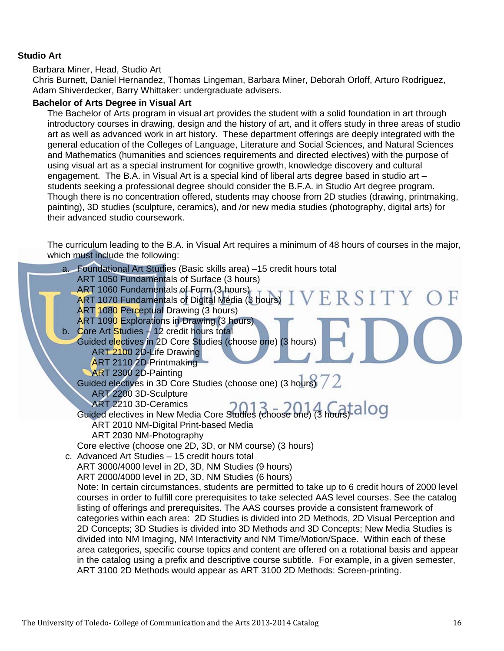#### **Studio Art**

#### Barbara Miner, Head, Studio Art

 Chris Burnett, Daniel Hernandez, Thomas Lingeman, Barbara Miner, Deborah Orloff, Arturo Rodriguez, Adam Shiverdecker, Barry Whittaker: undergraduate advisers.

#### **Bachelor of Arts Degree in Visual Art**

 The Bachelor of Arts program in visual art provides the student with a solid foundation in art through introductory courses in drawing, design and the history of art, and it offers study in three areas of studio art as well as advanced work in art history. These department offerings are deeply integrated with the general education of the Colleges of Language, Literature and Social Sciences, and Natural Sciences and Mathematics (humanities and sciences requirements and directed electives) with the purpose of using visual art as a special instrument for cognitive growth, knowledge discovery and cultural engagement. The B.A. in Visual Art is a special kind of liberal arts degree based in studio art – students seeking a professional degree should consider the B.F.A. in Studio Art degree program. Though there is no concentration offered, students may choose from 2D studies (drawing, printmaking, painting), 3D studies (sculpture, ceramics), and /or new media studies (photography, digital arts) for their advanced studio coursework.

 The curriculum leading to the B.A. in Visual Art requires a minimum of 48 hours of courses in the major, which must include the following:

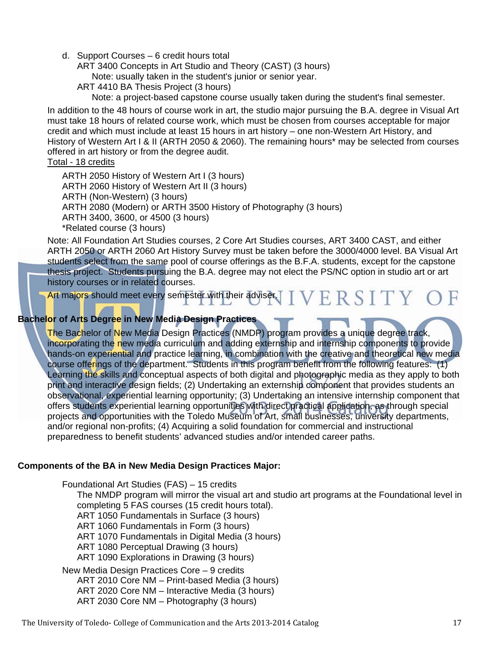d. Support Courses – 6 credit hours total

ART 3400 Concepts in Art Studio and Theory (CAST) (3 hours)

Note: usually taken in the student's junior or senior year.

ART 4410 BA Thesis Project (3 hours)

Note: a project-based capstone course usually taken during the student's final semester.

 In addition to the 48 hours of course work in art, the studio major pursuing the B.A. degree in Visual Art must take 18 hours of related course work, which must be chosen from courses acceptable for major credit and which must include at least 15 hours in art history – one non-Western Art History, and History of Western Art I & II (ARTH 2050 & 2060). The remaining hours\* may be selected from courses offered in art history or from the degree audit.

#### Total - 18 credits

 ARTH 2050 History of Western Art I (3 hours) ARTH 2060 History of Western Art II (3 hours) ARTH (Non-Western) (3 hours) ARTH 2080 (Modern) or ARTH 3500 History of Photography (3 hours) ARTH 3400, 3600, or 4500 (3 hours) \*Related course (3 hours)

 Note: All Foundation Art Studies courses, 2 Core Art Studies courses, ART 3400 CAST, and either ARTH 2050 or ARTH 2060 Art History Survey must be taken before the 3000/4000 level. BA Visual Art students select from the same pool of course offerings as the B.F.A. students, except for the capstone thesis project. Students pursuing the B.A. degree may not elect the PS/NC option in studio art or art history courses or in related courses.

Art majors should meet every semester with their adviser.  $I$   $V$   $E$   $R$   $S$   $I$   $T$   $Y$   $Q$ 

#### **Bachelor of Arts Degree in New Media Design Practices**

 The Bachelor of New Media Design Practices (NMDP) program provides a unique degree track, incorporating the new media curriculum and adding externship and internship components to provide hands-on experiential and practice learning, in combination with the creative and theoretical new media course offerings of the department. Students in this program benefit from the following features: (1) Learning the skills and conceptual aspects of both digital and photographic media as they apply to both print and interactive design fields; (2) Undertaking an externship component that provides students an observational, experiential learning opportunity; (3) Undertaking an intensive internship component that offers students experiential learning opportunities with direct practical application, as through special projects and opportunities with the Toledo Museum of Art, small businesses, university departments, and/or regional non-profits; (4) Acquiring a solid foundation for commercial and instructional preparedness to benefit students' advanced studies and/or intended career paths.

#### **Components of the BA in New Media Design Practices Major:**

 Foundational Art Studies (FAS) – 15 credits The NMDP program will mirror the visual art and studio art programs at the Foundational level in completing 5 FAS courses (15 credit hours total). ART 1050 Fundamentals in Surface (3 hours) ART 1060 Fundamentals in Form (3 hours) ART 1070 Fundamentals in Digital Media (3 hours) ART 1080 Perceptual Drawing (3 hours) ART 1090 Explorations in Drawing (3 hours) New Media Design Practices Core – 9 credits ART 2010 Core NM – Print-based Media (3 hours)

 ART 2020 Core NM – Interactive Media (3 hours) ART 2030 Core NM – Photography (3 hours)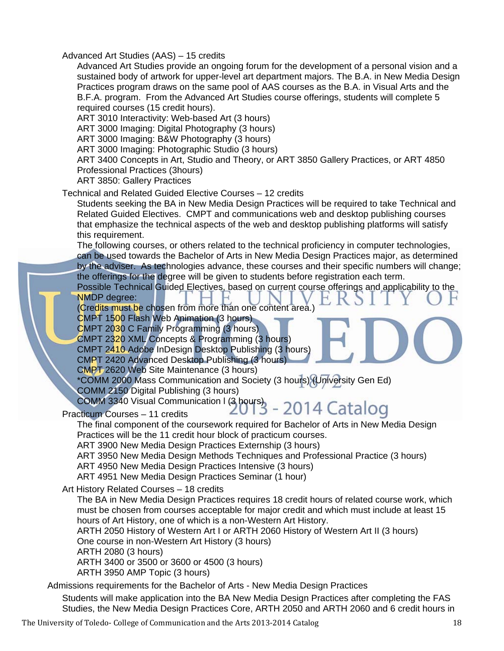Advanced Art Studies (AAS) – 15 credits

 Advanced Art Studies provide an ongoing forum for the development of a personal vision and a sustained body of artwork for upper-level art department majors. The B.A. in New Media Design Practices program draws on the same pool of AAS courses as the B.A. in Visual Arts and the B.F.A. program. From the Advanced Art Studies course offerings, students will complete 5 required courses (15 credit hours).

ART 3010 Interactivity: Web-based Art (3 hours)

ART 3000 Imaging: Digital Photography (3 hours)

ART 3000 Imaging: B&W Photography (3 hours)

ART 3000 Imaging: Photographic Studio (3 hours)

 ART 3400 Concepts in Art, Studio and Theory, or ART 3850 Gallery Practices, or ART 4850 Professional Practices (3hours)

ART 3850: Gallery Practices

#### Technical and Related Guided Elective Courses – 12 credits

 Students seeking the BA in New Media Design Practices will be required to take Technical and Related Guided Electives. CMPT and communications web and desktop publishing courses that emphasize the technical aspects of the web and desktop publishing platforms will satisfy this requirement.

 The following courses, or others related to the technical proficiency in computer technologies, can be used towards the Bachelor of Arts in New Media Design Practices major, as determined by the adviser. As technologies advance, these courses and their specific numbers will change; the offerings for the degree will be given to students before registration each term.

 Possible Technical Guided Electives, based on current course offerings and applicability to the NMDP degree:

(Credits must be chosen from more than one content area.)

CMPT 1500 Flash Web Animation (3 hours)

CMPT 2030 C Family Programming (3 hours)

CMPT 2320 XML Concepts & Programming (3 hours)

CMPT 2410 Adobe InDesign Desktop Publishing (3 hours)

CMPT 2420 Advanced Desktop Publishing (3 hours)

CMPT 2620 Web Site Maintenance (3 hours)

 \*COMM 2000 Mass Communication and Society (3 hours) (University Gen Ed) COMM 2150 Digital Publishing (3 hours)

Practicum Courses – 11 credits

## COMM 3340 Visual Communication | (3 hours) - 2014 Catalog

 The final component of the coursework required for Bachelor of Arts in New Media Design Practices will be the 11 credit hour block of practicum courses.

ART 3900 New Media Design Practices Externship (3 hours)

ART 3950 New Media Design Methods Techniques and Professional Practice (3 hours)

ART 4950 New Media Design Practices Intensive (3 hours)

ART 4951 New Media Design Practices Seminar (1 hour)

Art History Related Courses – 18 credits

 The BA in New Media Design Practices requires 18 credit hours of related course work, which must be chosen from courses acceptable for major credit and which must include at least 15 hours of Art History, one of which is a non-Western Art History.

 ARTH 2050 History of Western Art I or ARTH 2060 History of Western Art II (3 hours) One course in non-Western Art History (3 hours)

ARTH 2080 (3 hours)

ARTH 3400 or 3500 or 3600 or 4500 (3 hours)

ARTH 3950 AMP Topic (3 hours)

Admissions requirements for the Bachelor of Arts - New Media Design Practices

 Students will make application into the BA New Media Design Practices after completing the FAS Studies, the New Media Design Practices Core, ARTH 2050 and ARTH 2060 and 6 credit hours in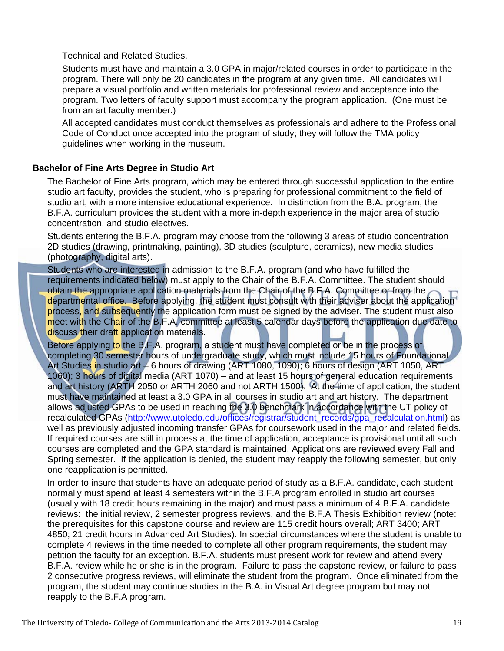Technical and Related Studies.

 Students must have and maintain a 3.0 GPA in major/related courses in order to participate in the program. There will only be 20 candidates in the program at any given time. All candidates will prepare a visual portfolio and written materials for professional review and acceptance into the program. Two letters of faculty support must accompany the program application. (One must be from an art faculty member.)

 All accepted candidates must conduct themselves as professionals and adhere to the Professional Code of Conduct once accepted into the program of study; they will follow the TMA policy guidelines when working in the museum.

#### **Bachelor of Fine Arts Degree in Studio Art**

 The Bachelor of Fine Arts program, which may be entered through successful application to the entire studio art faculty, provides the student, who is preparing for professional commitment to the field of studio art, with a more intensive educational experience. In distinction from the B.A. program, the B.F.A. curriculum provides the student with a more in-depth experience in the major area of studio concentration, and studio electives.

Students entering the B.F.A. program may choose from the following 3 areas of studio concentration – 2D studies (drawing, printmaking, painting), 3D studies (sculpture, ceramics), new media studies (photography, digital arts).

 Students who are interested in admission to the B.F.A. program (and who have fulfilled the requirements indicated below) must apply to the Chair of the B.F.A. Committee. The student should obtain the appropriate application materials from the Chair of the B.F.A. Committee or from the departmental office. Before applying, the student must consult with their adviser about the application process, and subsequently the application form must be signed by the adviser. The student must also meet with the Chair of the B.F.A. committee at least 5 calendar days before the application due date to discuss their draft application materials.

Before applying to the B.F.A. program, a student must have completed or be in the process of completing 30 semester hours of undergraduate study, which must include 15 hours of Foundational Art Studies in studio art – 6 hours of drawing (ART 1080, 1090); 6 hours of design (ART 1050, ART 1060); 3 hours of digital media (ART 1070) – and at least 15 hours of general education requirements and art history (ARTH 2050 or ARTH 2060 and not ARTH 1500). At the time of application, the student must have maintained at least a 3.0 GPA in all courses in studio art and art history. The department allows adjusted GPAs to be used in reaching the 3.0 benchmark in accordance with the UT policy of recalculated GPAs (http://www.utoledo.edu/offices/registrar/student\_records/gpa\_recalculation.html) as well as previously adjusted incoming transfer GPAs for coursework used in the major and related fields. If required courses are still in process at the time of application, acceptance is provisional until all such courses are completed and the GPA standard is maintained. Applications are reviewed every Fall and Spring semester. If the application is denied, the student may reapply the following semester, but only one reapplication is permitted.

 In order to insure that students have an adequate period of study as a B.F.A. candidate, each student normally must spend at least 4 semesters within the B.F.A program enrolled in studio art courses (usually with 18 credit hours remaining in the major) and must pass a minimum of 4 B.F.A. candidate reviews: the initial review, 2 semester progress reviews, and the B.F.A Thesis Exhibition review (note: the prerequisites for this capstone course and review are 115 credit hours overall; ART 3400; ART 4850; 21 credit hours in Advanced Art Studies). In special circumstances where the student is unable to complete 4 reviews in the time needed to complete all other program requirements, the student may petition the faculty for an exception. B.F.A. students must present work for review and attend every B.F.A. review while he or she is in the program. Failure to pass the capstone review, or failure to pass 2 consecutive progress reviews, will eliminate the student from the program. Once eliminated from the program, the student may continue studies in the B.A. in Visual Art degree program but may not reapply to the B.F.A program.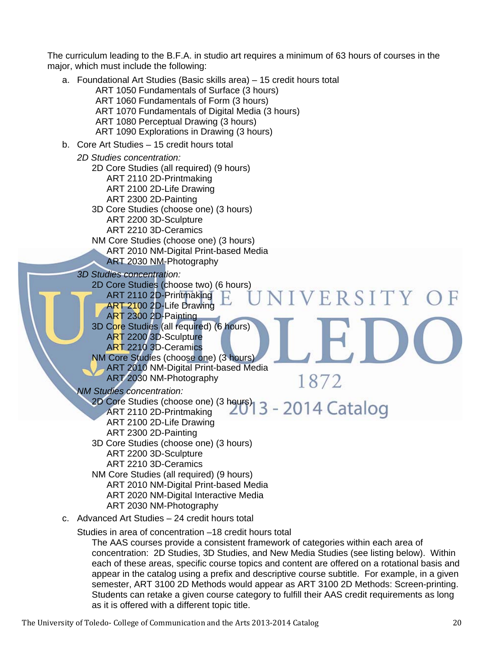The curriculum leading to the B.F.A. in studio art requires a minimum of 63 hours of courses in the major, which must include the following:

- a. Foundational Art Studies (Basic skills area) 15 credit hours total ART 1050 Fundamentals of Surface (3 hours) ART 1060 Fundamentals of Form (3 hours) ART 1070 Fundamentals of Digital Media (3 hours) ART 1080 Perceptual Drawing (3 hours) ART 1090 Explorations in Drawing (3 hours) b. Core Art Studies – 15 credit hours total  *2D Studies concentration:*  2D Core Studies (all required) (9 hours) ART 2110 2D-Printmaking ART 2100 2D-Life Drawing ART 2300 2D-Painting 3D Core Studies (choose one) (3 hours) ART 2200 3D-Sculpture ART 2210 3D-Ceramics NM Core Studies (choose one) (3 hours) ART 2010 NM-Digital Print-based Media ART 2030 NM-Photography  *3D Studies concentration:*  2D Core Studies (choose two) (6 hours) ART 2110 2D-Printmaking VERSITY OF ART 2100 2D-Life Drawing ART 2300 2D-Painting 3D Core Studies (all required) (6 hours) ART 2200 3D-Sculpture ART 2210 3D-Ceramics NM Core Studies (choose one) (3 hours) ART 2010 NM-Digital Print-based Media ART 2030 NM-Photography 1872  *NM Studies concentration:*  2D Core Studies (choose one) (3 hours) ART 2110 2D-Printmaking ART 2100 2D-Life Drawing ART 2300 2D-Painting 3D Core Studies (choose one) (3 hours) ART 2200 3D-Sculpture ART 2210 3D-Ceramics NM Core Studies (all required) (9 hours) ART 2010 NM-Digital Print-based Media ART 2020 NM-Digital Interactive Media ART 2030 NM-Photography c. Advanced Art Studies – 24 credit hours total Studies in area of concentration –18 credit hours total
	- The AAS courses provide a consistent framework of categories within each area of concentration: 2D Studies, 3D Studies, and New Media Studies (see listing below). Within each of these areas, specific course topics and content are offered on a rotational basis and appear in the catalog using a prefix and descriptive course subtitle. For example, in a given semester, ART 3100 2D Methods would appear as ART 3100 2D Methods: Screen-printing. Students can retake a given course category to fulfill their AAS credit requirements as long as it is offered with a different topic title.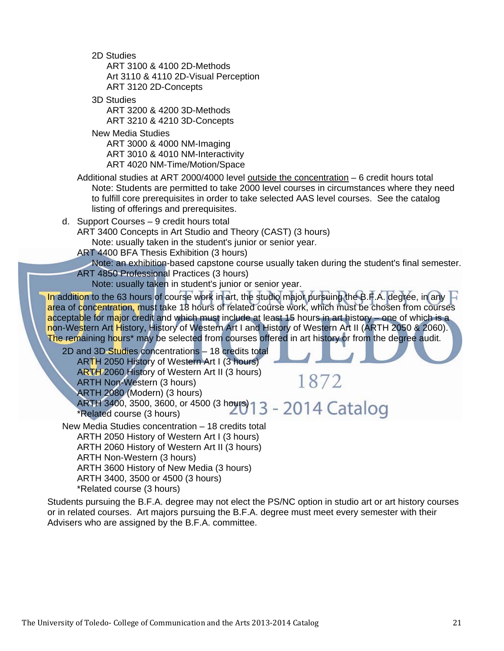2D Studies ART 3100 & 4100 2D-Methods Art 3110 & 4110 2D-Visual Perception ART 3120 2D-Concepts

 3D Studies ART 3200 & 4200 3D-Methods ART 3210 & 4210 3D-Concepts

 New Media Studies ART 3000 & 4000 NM-Imaging ART 3010 & 4010 NM-Interactivity ART 4020 NM-Time/Motion/Space

- Additional studies at ART 2000/4000 level outside the concentration 6 credit hours total Note: Students are permitted to take 2000 level courses in circumstances where they need to fulfill core prerequisites in order to take selected AAS level courses. See the catalog listing of offerings and prerequisites.
- d. Support Courses 9 credit hours total

ART 3400 Concepts in Art Studio and Theory (CAST) (3 hours)

Note: usually taken in the student's junior or senior year.

ART 4400 BFA Thesis Exhibition (3 hours)

 Note: an exhibition-based capstone course usually taken during the student's final semester. ART 4850 Professional Practices (3 hours)

1872

Note: usually taken in student's junior or senior year.

In addition to the 63 hours of course work in art, the studio major pursuing the B.F.A. degree, in any  $\Box$ area of concentration, must take 18 hours of related course work, which must be chosen from courses acceptable for major credit and which must include at least 15 hours in art history – one of which is a non-Western Art History, History of Western Art I and History of Western Art II (ARTH 2050 & 2060). The remaining hours<sup>\*</sup> may be selected from courses offered in art history or from the degree audit.

 2D and 3D Studies concentrations – 18 credits total ARTH 2050 History of Western Art I (3 hours) ARTH 2060 History of Western Art II (3 hours) ARTH Non-Western (3 hours) ARTH 2080 (Modern) (3 hours) ARTH 3400, 3500, 3600, or 4500 (3 hours)

\*Related course (3 hours)

New Media Studies concentration – 18 credits total

 ARTH 2050 History of Western Art I (3 hours) ARTH 2060 History of Western Art II (3 hours)

ARTH Non-Western (3 hours)

ARTH 3600 History of New Media (3 hours)

ARTH 3400, 3500 or 4500 (3 hours)

\*Related course (3 hours)

Students pursuing the B.F.A. degree may not elect the PS/NC option in studio art or art history courses or in related courses. Art majors pursuing the B.F.A. degree must meet every semester with their Advisers who are assigned by the B.F.A. committee.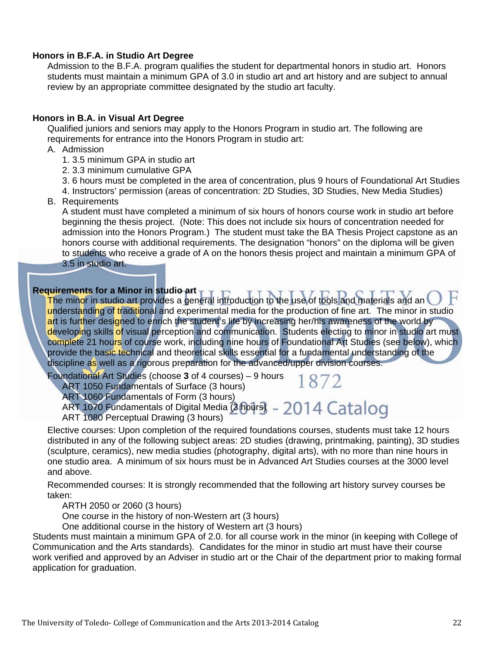#### **Honors in B.F.A. in Studio Art Degree**

 Admission to the B.F.A. program qualifies the student for departmental honors in studio art. Honors students must maintain a minimum GPA of 3.0 in studio art and art history and are subject to annual review by an appropriate committee designated by the studio art faculty.

#### **Honors in B.A. in Visual Art Degree**

 Qualified juniors and seniors may apply to the Honors Program in studio art. The following are requirements for entrance into the Honors Program in studio art:

- A. Admission
	- 1. 3.5 minimum GPA in studio art
	- 2. 3.3 minimum cumulative GPA
	- 3. 6 hours must be completed in the area of concentration, plus 9 hours of Foundational Art Studies
	- 4. Instructors' permission (areas of concentration: 2D Studies, 3D Studies, New Media Studies)
- B. Requirements

 A student must have completed a minimum of six hours of honors course work in studio art before beginning the thesis project. (Note: This does not include six hours of concentration needed for admission into the Honors Program.) The student must take the BA Thesis Project capstone as an honors course with additional requirements. The designation "honors" on the diploma will be given to students who receive a grade of A on the honors thesis project and maintain a minimum GPA of 3.5 in studio art.

#### **Requirements for a Minor in studio art**

 The minor in studio art provides a general introduction to the use of tools and materials and an understanding of traditional and experimental media for the production of fine art. The minor in studio art is further designed to enrich the student's life by increasing her/his awareness of the world by developing skills of visual perception and communication. Students electing to minor in studio art must complete 21 hours of course work, including nine hours of Foundational Art Studies (see below), which provide the basic technical and theoretical skills essential for a fundamental understanding of the discipline as well as a rigorous preparation for the advanced/upper division courses.

1872

Foundational Art Studies (choose **3** of 4 courses) – 9 hours

ART 1050 Fundamentals of Surface (3 hours)

ART 1060 Fundamentals of Form (3 hours)

ART 1070 Fundamentals of Digital Media  $(3$  hours) - 2014  $\operatorname{Cataloq}$ 

ART 1080 Perceptual Drawing (3 hours)

 Elective courses: Upon completion of the required foundations courses, students must take 12 hours distributed in any of the following subject areas: 2D studies (drawing, printmaking, painting), 3D studies (sculpture, ceramics), new media studies (photography, digital arts), with no more than nine hours in one studio area. A minimum of six hours must be in Advanced Art Studies courses at the 3000 level and above.

 Recommended courses: It is strongly recommended that the following art history survey courses be taken:

ARTH 2050 or 2060 (3 hours)

One course in the history of non-Western art (3 hours)

One additional course in the history of Western art (3 hours)

 Students must maintain a minimum GPA of 2.0. for all course work in the minor (in keeping with College of Communication and the Arts standards). Candidates for the minor in studio art must have their course work verified and approved by an Adviser in studio art or the Chair of the department prior to making formal application for graduation.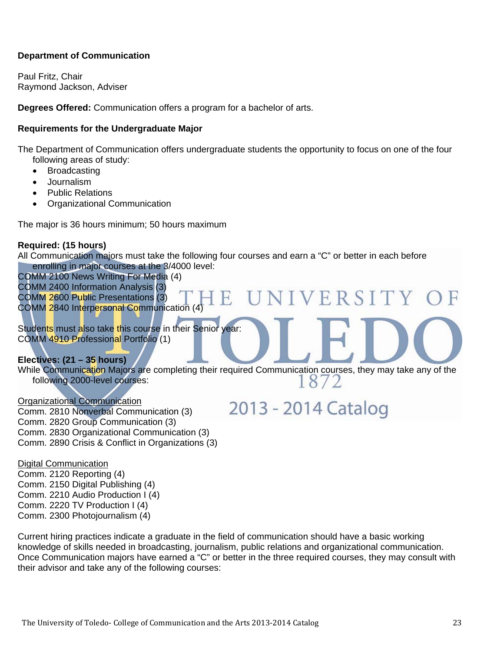#### **Department of Communication**

Paul Fritz, Chair Raymond Jackson, Adviser

**Degrees Offered:** Communication offers a program for a bachelor of arts.

#### **Requirements for the Undergraduate Major**

The Department of Communication offers undergraduate students the opportunity to focus on one of the four following areas of study:

- Broadcasting
- Journalism
- Public Relations
- Organizational Communication

The major is 36 hours minimum; 50 hours maximum

#### **Required: (15 hours)**

All Communication majors must take the following four courses and earn a "C" or better in each before enrolling in major courses at the 3/4000 level:

COMM 2100 News Writing For Media (4)

COMM 2400 Information Analysis (3)

COMM 2600 Public Presentations (3)

COMM 2840 Interpersonal Communication (4)

Students must also take this course in their Senior year: COMM 4910 Professional Portfolio (1)

#### **Electives: (21 – 35 hours)**

While Communication Majors are completing their required Communication courses, they may take any of the following 2000-level courses: following 2000-level courses:

#### Organizational Communication

Comm. 2810 Nonverbal Communication (3) Comm. 2820 Group Communication (3) Comm. 2830 Organizational Communication (3) Comm. 2890 Crisis & Conflict in Organizations (3)

### 2013 - 2014 Catalog

UNIVERSITY

Digital Communication

Comm. 2120 Reporting (4) Comm. 2150 Digital Publishing (4) Comm. 2210 Audio Production I (4) Comm. 2220 TV Production I (4) Comm. 2300 Photojournalism (4)

Current hiring practices indicate a graduate in the field of communication should have a basic working knowledge of skills needed in broadcasting, journalism, public relations and organizational communication. Once Communication majors have earned a "C" or better in the three required courses, they may consult with their advisor and take any of the following courses: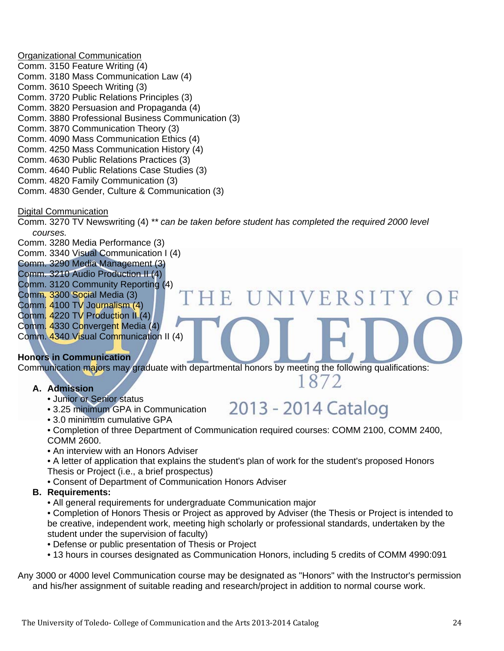Organizational Communication Comm. 3150 Feature Writing (4) Comm. 3180 Mass Communication Law (4) Comm. 3610 Speech Writing (3) Comm. 3720 Public Relations Principles (3) Comm. 3820 Persuasion and Propaganda (4) Comm. 3880 Professional Business Communication (3) Comm. 3870 Communication Theory (3) Comm. 4090 Mass Communication Ethics (4) Comm. 4250 Mass Communication History (4) Comm. 4630 Public Relations Practices (3) Comm. 4640 Public Relations Case Studies (3) Comm. 4820 Family Communication (3) Comm. 4830 Gender, Culture & Communication (3)

#### Digital Communication

Comm. 3270 TV Newswriting (4) *\*\* can be taken before student has completed the required 2000 level courses.*

Comm. 3280 Media Performance (3)

Comm. 3340 Visual Communication I (4)

Comm. 3290 Media Management (3)

- Comm. 3210 Audio Production II (4)
- Comm. 3120 Community Reporting (4)
- Comm. 3300 Social Media (3)
- Comm. 4100 TV Journalism (4)
- Comm. 4220 TV Production II (4)

Comm. 4330 Convergent Media (4) Comm. 4340 Visual Communication II (4)

#### **Honors in Communication**

Communication majors may graduate with departmental honors by meeting the following qualifications:

IE.

#### **A. Admission**

- Junior or Senior status
- 3.25 minimum GPA in Communication

### 2013 - 2014 Catalog

1872

UNIVERSITY

• 3.0 minimum cumulative GPA

• Completion of three Department of Communication required courses: COMM 2100, COMM 2400, COMM 2600.

- An interview with an Honors Adviser
- A letter of application that explains the student's plan of work for the student's proposed Honors
- Thesis or Project (i.e., a brief prospectus)
- Consent of Department of Communication Honors Adviser

#### **B. Requirements:**

• All general requirements for undergraduate Communication major

• Completion of Honors Thesis or Project as approved by Adviser (the Thesis or Project is intended to be creative, independent work, meeting high scholarly or professional standards, undertaken by the student under the supervision of faculty)

- Defense or public presentation of Thesis or Project
- 13 hours in courses designated as Communication Honors, including 5 credits of COMM 4990:091

Any 3000 or 4000 level Communication course may be designated as "Honors" with the Instructor's permission and his/her assignment of suitable reading and research/project in addition to normal course work.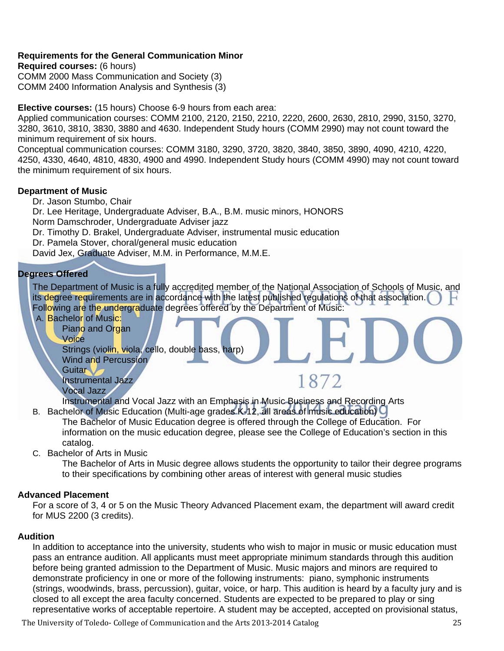#### **Requirements for the General Communication Minor**

**Required courses:** (6 hours) COMM 2000 Mass Communication and Society (3) COMM 2400 Information Analysis and Synthesis (3)

**Elective courses:** (15 hours) Choose 6-9 hours from each area:

Applied communication courses: COMM 2100, 2120, 2150, 2210, 2220, 2600, 2630, 2810, 2990, 3150, 3270, 3280, 3610, 3810, 3830, 3880 and 4630. Independent Study hours (COMM 2990) may not count toward the minimum requirement of six hours.

Conceptual communication courses: COMM 3180, 3290, 3720, 3820, 3840, 3850, 3890, 4090, 4210, 4220, 4250, 4330, 4640, 4810, 4830, 4900 and 4990. Independent Study hours (COMM 4990) may not count toward the minimum requirement of six hours.

#### **Department of Music**

Dr. Jason Stumbo, Chair

Dr. Lee Heritage, Undergraduate Adviser, B.A., B.M. music minors, HONORS Norm Damschroder, Undergraduate Adviser jazz

Dr. Timothy D. Brakel, Undergraduate Adviser, instrumental music education

Dr. Pamela Stover, choral/general music education

David Jex, Graduate Adviser, M.M. in Performance, M.M.E.

#### **Degrees Offered**

The Department of Music is a fully accredited member of the National Association of Schools of Music, and its degree requirements are in accordance with the latest published regulations of that association. Following are the undergraduate degrees offered by the Department of Music:

A. Bachelor of Music:

Piano and Organ

Voice

Strings (violin, viola, cello, double bass, harp) Wind and Percussion **Guitar** Instrumental Jazz

```
Vocal Jazz
```
Instrumental and Vocal Jazz with an Emphasis in Music Business and Recording Arts

- B. Bachelor of Music Education (Multi-age grades K-12, all areas of music education) The Bachelor of Music Education degree is offered through the College of Education. For information on the music education degree, please see the College of Education's section in this catalog.
- C. Bachelor of Arts in Music

The Bachelor of Arts in Music degree allows students the opportunity to tailor their degree programs to their specifications by combining other areas of interest with general music studies

1872

#### **Advanced Placement**

For a score of 3, 4 or 5 on the Music Theory Advanced Placement exam, the department will award credit for MUS 2200 (3 credits).

#### **Audition**

In addition to acceptance into the university, students who wish to major in music or music education must pass an entrance audition. All applicants must meet appropriate minimum standards through this audition before being granted admission to the Department of Music. Music majors and minors are required to demonstrate proficiency in one or more of the following instruments: piano, symphonic instruments (strings, woodwinds, brass, percussion), guitar, voice, or harp. This audition is heard by a faculty jury and is closed to all except the area faculty concerned. Students are expected to be prepared to play or sing representative works of acceptable repertoire. A student may be accepted, accepted on provisional status,

The University of Toledo- College of Communication and the Arts 2013-2014 Catalog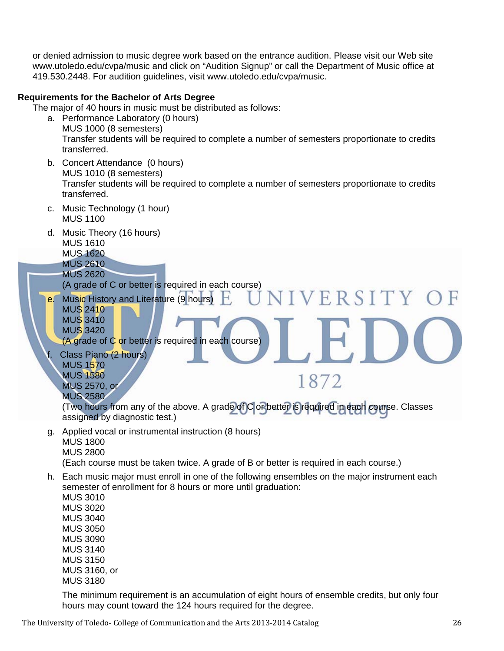or denied admission to music degree work based on the entrance audition. Please visit our Web site www.utoledo.edu/cvpa/music and click on "Audition Signup" or call the Department of Music office at 419.530.2448. For audition guidelines, visit www.utoledo.edu/cvpa/music.

#### **Requirements for the Bachelor of Arts Degree**

The major of 40 hours in music must be distributed as follows:

- a. Performance Laboratory (0 hours) MUS 1000 (8 semesters) Transfer students will be required to complete a number of semesters proportionate to credits transferred.
- b. Concert Attendance (0 hours) MUS 1010 (8 semesters) Transfer students will be required to complete a number of semesters proportionate to credits transferred.
- c. Music Technology (1 hour) MUS 1100
- d. Music Theory (16 hours) MUS 1610
	- MUS 1620
	- MUS 2610 MUS 2620

(A grade of C or better is required in each course)

e. Music History and Literature (9 hours) MUS 2410 MUS 3410 MUS 3420

(A grade of C or better is required in each course)

Class Piano (2 hours) MUS 1570 MUS 1580 MUS 2570, or MUS 2580

(Two hours from any of the above. A grade of C or better is required in each course. Classes assigned by diagnostic test.)

IVERSITY O

1872

g. Applied vocal or instrumental instruction (8 hours) MUS 1800 MUS 2800

(Each course must be taken twice. A grade of B or better is required in each course.)

h. Each music major must enroll in one of the following ensembles on the major instrument each semester of enrollment for 8 hours or more until graduation:

MUS 3010 MUS 3020 MUS 3040 MUS 3050 MUS 3090 MUS 3140 MUS 3150 MUS 3160, or MUS 3180

The minimum requirement is an accumulation of eight hours of ensemble credits, but only four hours may count toward the 124 hours required for the degree.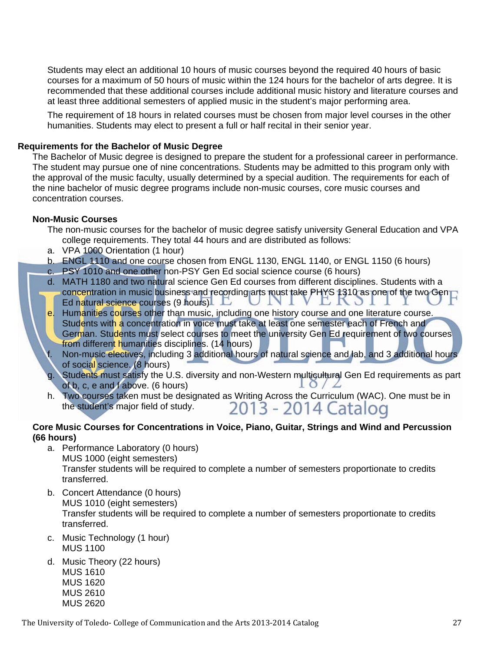Students may elect an additional 10 hours of music courses beyond the required 40 hours of basic courses for a maximum of 50 hours of music within the 124 hours for the bachelor of arts degree. It is recommended that these additional courses include additional music history and literature courses and at least three additional semesters of applied music in the student's major performing area.

The requirement of 18 hours in related courses must be chosen from major level courses in the other humanities. Students may elect to present a full or half recital in their senior year.

#### **Requirements for the Bachelor of Music Degree**

The Bachelor of Music degree is designed to prepare the student for a professional career in performance. The student may pursue one of nine concentrations. Students may be admitted to this program only with the approval of the music faculty, usually determined by a special audition. The requirements for each of the nine bachelor of music degree programs include non-music courses, core music courses and concentration courses.

#### **Non-Music Courses**

- The non-music courses for the bachelor of music degree satisfy university General Education and VPA college requirements. They total 44 hours and are distributed as follows:
- a. VPA 1000 Orientation (1 hour)
- b. ENGL 1110 and one course chosen from ENGL 1130, ENGL 1140, or ENGL 1150 (6 hours)
- c. PSY 1010 and one other non-PSY Gen Ed social science course (6 hours)
- d. MATH 1180 and two natural science Gen Ed courses from different disciplines. Students with a concentration in music business and recording arts must take PHYS 1310 as one of the two Gen Ed natural science courses  $(9 \text{ hours})$ л. **LN**
- e. Humanities courses other than music, including one history course and one literature course. Students with a concentration in voice must take at least one semester each of French and German. Students must select courses to meet the university Gen Ed requirement of two courses from different humanities disciplines. (14 hours)
- f. Non-music electives, including 3 additional hours of natural science and lab, and 3 additional hours of social science. (8 hours)
- g. Students must satisfy the U.S. diversity and non-Western multicultural Gen Ed requirements as part of b, c, e and f above. (6 hours)  $10/L$
- h. Two courses taken must be designated as Writing Across the Curriculum (WAC). One must be in the student's major field of study.  $2013 2014$  Catalog the student's major field of study.

#### **Core Music Courses for Concentrations in Voice, Piano, Guitar, Strings and Wind and Percussion (66 hours)**

- a. Performance Laboratory (0 hours) MUS 1000 (eight semesters) Transfer students will be required to complete a number of semesters proportionate to credits transferred.
- b. Concert Attendance (0 hours) MUS 1010 (eight semesters) Transfer students will be required to complete a number of semesters proportionate to credits transferred.
- c. Music Technology (1 hour) MUS 1100
- d. Music Theory (22 hours) MUS 1610 MUS 1620 MUS 2610 MUS 2620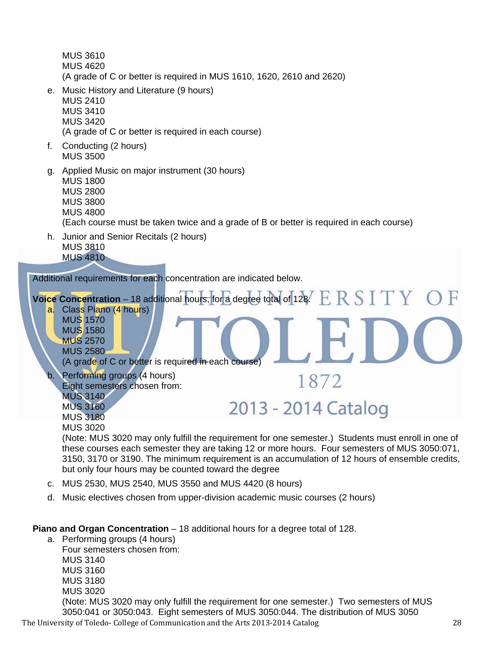MUS 3610 MUS 4620 (A grade of C or better is required in MUS 1610, 1620, 2610 and 2620)

e. Music History and Literature (9 hours) MUS 2410

MUS 3410

MUS 3420

(A grade of C or better is required in each course)

- f. Conducting (2 hours) MUS 3500
- g. Applied Music on major instrument (30 hours)

MUS 1800 MUS 2800 MUS 3800

MUS 4800

(Each course must be taken twice and a grade of B or better is required in each course)

h. Junior and Senior Recitals (2 hours) MUS 3810 MUS 4810

Additional requirements for each concentration are indicated below.



(Note: MUS 3020 may only fulfill the requirement for one semester.) Students must enroll in one of these courses each semester they are taking 12 or more hours. Four semesters of MUS 3050:071, 3150, 3170 or 3190. The minimum requirement is an accumulation of 12 hours of ensemble credits, but only four hours may be counted toward the degree

- c. MUS 2530, MUS 2540, MUS 3550 and MUS 4420 (8 hours)
- d. Music electives chosen from upper-division academic music courses (2 hours)

**Piano and Organ Concentration** – 18 additional hours for a degree total of 128.

a. Performing groups (4 hours) Four semesters chosen from:

MUS 3140

- MUS 3160 MUS 3180
- MUS 3020

The University of Toledo- College of Communication and the Arts 2013-2014 Catalog (Note: MUS 3020 may only fulfill the requirement for one semester.) Two semesters of MUS 3050:041 or 3050:043. Eight semesters of MUS 3050:044. The distribution of MUS 3050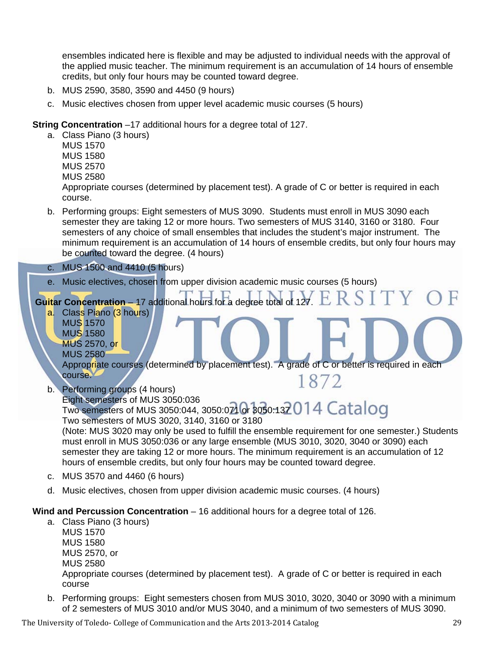ensembles indicated here is flexible and may be adjusted to individual needs with the approval of the applied music teacher. The minimum requirement is an accumulation of 14 hours of ensemble credits, but only four hours may be counted toward degree.

- b. MUS 2590, 3580, 3590 and 4450 (9 hours)
- c. Music electives chosen from upper level academic music courses (5 hours)

**String Concentration** –17 additional hours for a degree total of 127.

- a. Class Piano (3 hours)
	- MUS 1570 MUS 1580 MUS 2570 MUS 2580

Appropriate courses (determined by placement test). A grade of C or better is required in each course.

- b. Performing groups: Eight semesters of MUS 3090. Students must enroll in MUS 3090 each semester they are taking 12 or more hours. Two semesters of MUS 3140, 3160 or 3180. Four semesters of any choice of small ensembles that includes the student's major instrument. The minimum requirement is an accumulation of 14 hours of ensemble credits, but only four hours may be counted toward the degree. (4 hours)
- c. MUS 1500 and 4410 (5 hours)
- e. Music electives, chosen from upper division academic music courses (5 hours)

ERSITY **Guitar Concentration** – 17 additional hours for a degree total of 127.

- a. Class Piano (3 hours) MUS 1570 MUS 1580
	- MUS 2570, or
	- MUS 2580

Appropriate courses (determined by placement test). A grade of C or better is required in each course. 1872

b. Performing groups (4 hours)

Eight semesters of MUS 3050:036 Two semesters of MUS 3050:030, 3050:021 or 3050:137 0 1 4 Catalog Two semesters of MUS 3020, 3140, 3160 or 3180

(Note: MUS 3020 may only be used to fulfill the ensemble requirement for one semester.) Students must enroll in MUS 3050:036 or any large ensemble (MUS 3010, 3020, 3040 or 3090) each semester they are taking 12 or more hours. The minimum requirement is an accumulation of 12 hours of ensemble credits, but only four hours may be counted toward degree.

- c. MUS 3570 and 4460 (6 hours)
- d. Music electives, chosen from upper division academic music courses. (4 hours)

#### **Wind and Percussion Concentration** – 16 additional hours for a degree total of 126.

- a. Class Piano (3 hours) MUS 1570 MUS 1580 MUS 2570, or MUS 2580 Appropriate courses (determined by placement test). A grade of C or better is required in each course
- b. Performing groups: Eight semesters chosen from MUS 3010, 3020, 3040 or 3090 with a minimum of 2 semesters of MUS 3010 and/or MUS 3040, and a minimum of two semesters of MUS 3090.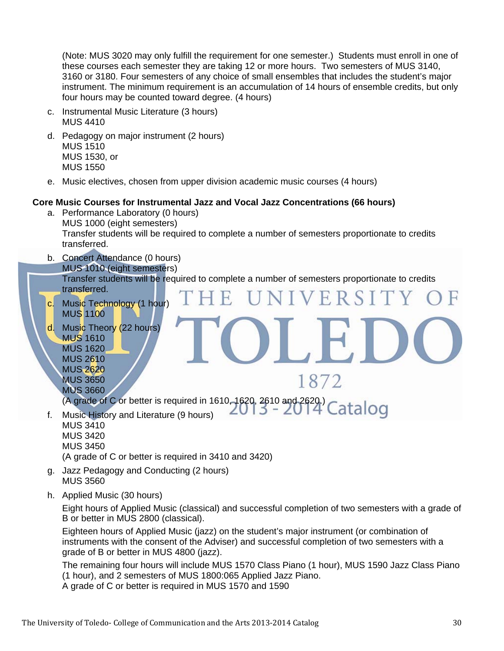(Note: MUS 3020 may only fulfill the requirement for one semester.) Students must enroll in one of these courses each semester they are taking 12 or more hours. Two semesters of MUS 3140, 3160 or 3180. Four semesters of any choice of small ensembles that includes the student's major instrument. The minimum requirement is an accumulation of 14 hours of ensemble credits, but only four hours may be counted toward degree. (4 hours)

- c. Instrumental Music Literature (3 hours) MUS 4410
- d. Pedagogy on major instrument (2 hours) MUS 1510 MUS 1530, or MUS 1550
- e. Music electives, chosen from upper division academic music courses (4 hours)

#### **Core Music Courses for Instrumental Jazz and Vocal Jazz Concentrations (66 hours)**

- a. Performance Laboratory (0 hours) MUS 1000 (eight semesters) Transfer students will be required to complete a number of semesters proportionate to credits transferred.
- b. Concert Attendance (0 hours) MUS 1010 (eight semesters) Transfer students will be required to complete a number of semesters proportionate to credits transferred. VERSI
	- c. Music Technology (1 hour) MUS 1100
	- d. Music Theory (22 hours) MUS 1610 MUS 1620 MUS 2610 MUS 2620 MUS 3650

MUS 3660 (A grade of C or better is required in 1610, 1620, 2610 and 2620.)<br>Music History and Literature (9 bours)  $2013 - 2014$  Catalog

f. Music History and Literature (9 hours) MUS 3410 MUS 3420 MUS 3450

(A grade of C or better is required in 3410 and 3420)

- g. Jazz Pedagogy and Conducting (2 hours) MUS 3560
- h. Applied Music (30 hours)

Eight hours of Applied Music (classical) and successful completion of two semesters with a grade of B or better in MUS 2800 (classical).

1872

Eighteen hours of Applied Music (jazz) on the student's major instrument (or combination of instruments with the consent of the Adviser) and successful completion of two semesters with a grade of B or better in MUS 4800 (jazz).

The remaining four hours will include MUS 1570 Class Piano (1 hour), MUS 1590 Jazz Class Piano (1 hour), and 2 semesters of MUS 1800:065 Applied Jazz Piano.

A grade of C or better is required in MUS 1570 and 1590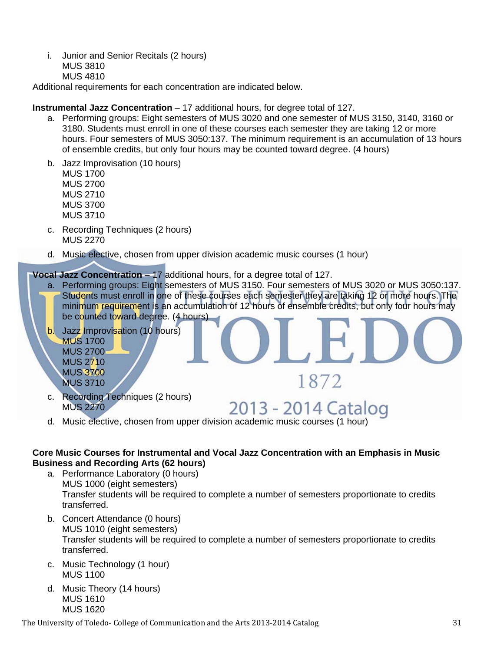i. Junior and Senior Recitals (2 hours) MUS 3810 MUS 4810

Additional requirements for each concentration are indicated below.

#### **Instrumental Jazz Concentration** – 17 additional hours, for degree total of 127.

- a. Performing groups: Eight semesters of MUS 3020 and one semester of MUS 3150, 3140, 3160 or 3180. Students must enroll in one of these courses each semester they are taking 12 or more hours. Four semesters of MUS 3050:137. The minimum requirement is an accumulation of 13 hours of ensemble credits, but only four hours may be counted toward degree. (4 hours)
- b. Jazz Improvisation (10 hours)

 MUS 1700 MUS 2700 MUS 2710 MUS 3700

MUS 3710

- c. Recording Techniques (2 hours) MUS 2270
- d. Music elective, chosen from upper division academic music courses (1 hour)

#### **Vocal Jazz Concentration** – 17 additional hours, for a degree total of 127.

a. Performing groups: Eight semesters of MUS 3150. Four semesters of MUS 3020 or MUS 3050:137. Students must enroll in one of these courses each semester they are taking 12 or more hours. The minimum requirement is an accumulation of 12 hours of ensemble credits, but only four hours may be counted toward degree. (4 hours)

1872

2013 - 2014 Catalog

- b. Jazz Improvisation (10 hours) MUS 1700 MUS 2700 MUS 2710 MUS 3700
	- MUS 3710
- c. Recording Techniques (2 hours) MUS 2270
- d. Music elective, chosen from upper division academic music courses (1 hour)

#### **Core Music Courses for Instrumental and Vocal Jazz Concentration with an Emphasis in Music Business and Recording Arts (62 hours)**

- a. Performance Laboratory (0 hours) MUS 1000 (eight semesters) Transfer students will be required to complete a number of semesters proportionate to credits transferred.
- b. Concert Attendance (0 hours) MUS 1010 (eight semesters) Transfer students will be required to complete a number of semesters proportionate to credits transferred.
- c. Music Technology (1 hour) MUS 1100
- d. Music Theory (14 hours) MUS 1610 MUS 1620

The University of Toledo- College of Communication and the Arts 2013-2014 Catalog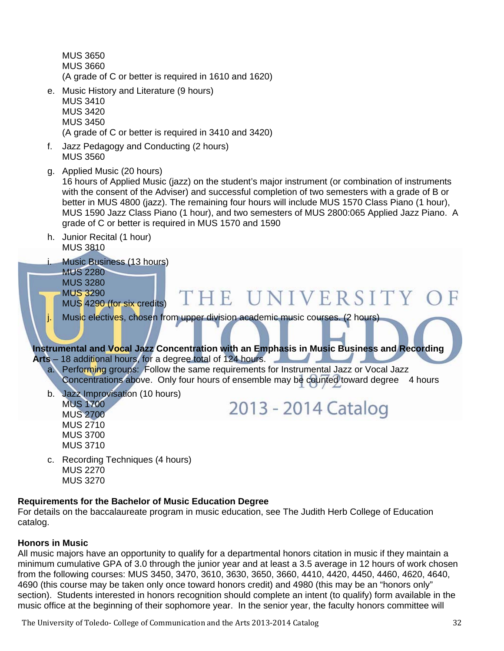MUS 3650 MUS 3660 (A grade of C or better is required in 1610 and 1620)

- e. Music History and Literature (9 hours) MUS 3410 MUS 3420 MUS 3450 (A grade of C or better is required in 3410 and 3420)
- f. Jazz Pedagogy and Conducting (2 hours) MUS 3560
- g. Applied Music (20 hours)

 16 hours of Applied Music (jazz) on the student's major instrument (or combination of instruments with the consent of the Adviser) and successful completion of two semesters with a grade of B or better in MUS 4800 (jazz). The remaining four hours will include MUS 1570 Class Piano (1 hour), MUS 1590 Jazz Class Piano (1 hour), and two semesters of MUS 2800:065 Applied Jazz Piano. A grade of C or better is required in MUS 1570 and 1590

h. Junior Recital (1 hour) MUS 3810



#### **Requirements for the Bachelor of Music Education Degree**

For details on the baccalaureate program in music education, see The Judith Herb College of Education catalog.

#### **Honors in Music**

All music majors have an opportunity to qualify for a departmental honors citation in music if they maintain a minimum cumulative GPA of 3.0 through the junior year and at least a 3.5 average in 12 hours of work chosen from the following courses: MUS 3450, 3470, 3610, 3630, 3650, 3660, 4410, 4420, 4450, 4460, 4620, 4640, 4690 (this course may be taken only once toward honors credit) and 4980 (this may be an "honors only" section). Students interested in honors recognition should complete an intent (to qualify) form available in the music office at the beginning of their sophomore year. In the senior year, the faculty honors committee will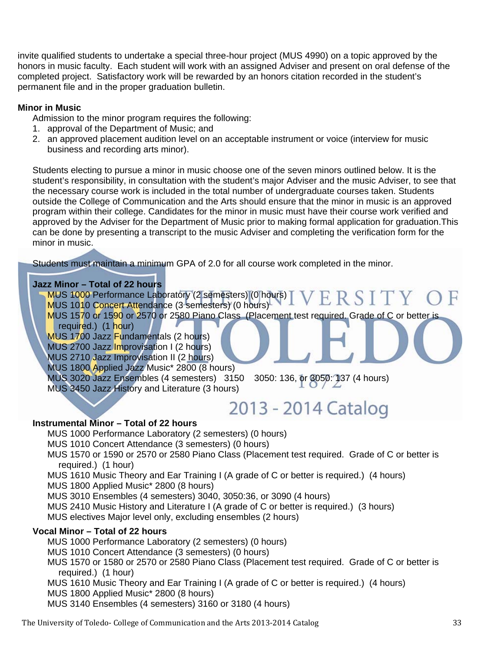invite qualified students to undertake a special three-hour project (MUS 4990) on a topic approved by the honors in music faculty. Each student will work with an assigned Adviser and present on oral defense of the completed project. Satisfactory work will be rewarded by an honors citation recorded in the student's permanent file and in the proper graduation bulletin.

#### **Minor in Music**

Admission to the minor program requires the following:

- 1. approval of the Department of Music; and
- 2. an approved placement audition level on an acceptable instrument or voice (interview for music business and recording arts minor).

Students electing to pursue a minor in music choose one of the seven minors outlined below. It is the student's responsibility, in consultation with the student's major Adviser and the music Adviser, to see that the necessary course work is included in the total number of undergraduate courses taken. Students outside the College of Communication and the Arts should ensure that the minor in music is an approved program within their college. Candidates for the minor in music must have their course work verified and approved by the Adviser for the Department of Music prior to making formal application for graduation.This can be done by presenting a transcript to the music Adviser and completing the verification form for the minor in music.

Students must maintain a minimum GPA of 2.0 for all course work completed in the minor.

#### **Jazz Minor – Total of 22 hours**

MUS 1000 Performance Laboratory (2 semesters) (0 hours) ERSITY MUS 1010 Concert Attendance (3 semesters) (0 hours) MUS 1570 or 1590 or 2570 or 2580 Piano Class (Placement test required. Grade of C or better is required.) (1 hour) MUS 1700 Jazz Fundamentals (2 hours) MUS 2700 Jazz Improvisation I (2 hours) MUS 2710 Jazz Improvisation II (2 hours) MUS 1800 Applied Jazz Music\* 2800 (8 hours) MUS 3020 Jazz Ensembles (4 semesters) 3150 3050: 136, or 3050: 137 (4 hours) MUS 3450 Jazz History and Literature (3 hours)

### 2013 - 2014 Catalog

#### **Instrumental Minor – Total of 22 hours**

MUS 1000 Performance Laboratory (2 semesters) (0 hours)

MUS 1010 Concert Attendance (3 semesters) (0 hours)

MUS 1570 or 1590 or 2570 or 2580 Piano Class (Placement test required. Grade of C or better is required.) (1 hour)

MUS 1610 Music Theory and Ear Training I (A grade of C or better is required.) (4 hours)

MUS 1800 Applied Music\* 2800 (8 hours)

MUS 3010 Ensembles (4 semesters) 3040, 3050:36, or 3090 (4 hours)

MUS 2410 Music History and Literature I (A grade of C or better is required.) (3 hours)

MUS electives Major level only, excluding ensembles (2 hours)

#### **Vocal Minor – Total of 22 hours**

MUS 1000 Performance Laboratory (2 semesters) (0 hours)

MUS 1010 Concert Attendance (3 semesters) (0 hours)

MUS 1570 or 1580 or 2570 or 2580 Piano Class (Placement test required. Grade of C or better is required.) (1 hour)

MUS 1610 Music Theory and Ear Training I (A grade of C or better is required.) (4 hours)

MUS 1800 Applied Music\* 2800 (8 hours)

MUS 3140 Ensembles (4 semesters) 3160 or 3180 (4 hours)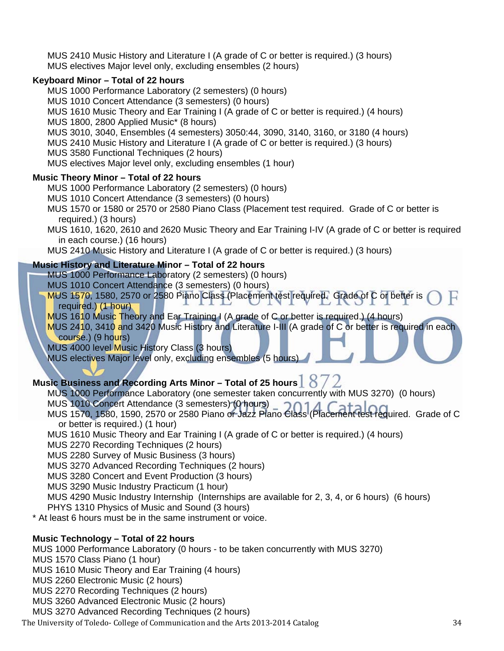MUS 2410 Music History and Literature I (A grade of C or better is required.) (3 hours) MUS electives Major level only, excluding ensembles (2 hours)

#### **Keyboard Minor – Total of 22 hours**

MUS 1000 Performance Laboratory (2 semesters) (0 hours)

MUS 1010 Concert Attendance (3 semesters) (0 hours)

MUS 1610 Music Theory and Ear Training I (A grade of C or better is required.) (4 hours)

MUS 1800, 2800 Applied Music\* (8 hours)

MUS 3010, 3040, Ensembles (4 semesters) 3050:44, 3090, 3140, 3160, or 3180 (4 hours)

MUS 2410 Music History and Literature I (A grade of C or better is required.) (3 hours)

MUS 3580 Functional Techniques (2 hours)

MUS electives Major level only, excluding ensembles (1 hour)

#### **Music Theory Minor – Total of 22 hours**

MUS 1000 Performance Laboratory (2 semesters) (0 hours)

- MUS 1010 Concert Attendance (3 semesters) (0 hours)
- MUS 1570 or 1580 or 2570 or 2580 Piano Class (Placement test required. Grade of C or better is required.) (3 hours)
- MUS 1610, 1620, 2610 and 2620 Music Theory and Ear Training I-IV (A grade of C or better is required in each course.) (16 hours)

MUS 2410 Music History and Literature I (A grade of C or better is required.) (3 hours)

#### **Music History and Literature Minor – Total of 22 hours**

MUS 1000 Performance Laboratory (2 semesters) (0 hours)

MUS 1010 Concert Attendance (3 semesters) (0 hours)

MUS 1570, 1580, 2570 or 2580 Piano Class (Placement test required. Grade of C or better is required.) (1 hour)

MUS 1610 Music Theory and Ear Training I (A grade of C or better is required.) (4 hours)

MUS 2410, 3410 and 3420 Music History and Literature I-III (A grade of C or better is required in each course.) (9 hours)

MUS 4000 level Music History Class (3 hours)

MUS electives Major level only, excluding ensembles (5 hours)

#### **Music Business and Recording Arts Minor – Total of 25 hours**  $\vert$  8

- MUS 1000 Performance Laboratory (one semester taken concurrently with MUS 3270) (0 hours)
- MUS 1010 Concert Attendance (3 semesters) (0 hours)
- MUS 1010 Concert Attendance (3 semesters) (Uniquis)<br>MUS 1570, 1580, 1590, 2570 or 2580 Piano or Jazz Piano Class (Placement test required. Grade of C or better is required.) (1 hour)
- MUS 1610 Music Theory and Ear Training I (A grade of C or better is required.) (4 hours)

MUS 2270 Recording Techniques (2 hours)

MUS 2280 Survey of Music Business (3 hours)

MUS 3270 Advanced Recording Techniques (2 hours)

MUS 3280 Concert and Event Production (3 hours)

MUS 3290 Music Industry Practicum (1 hour)

MUS 4290 Music Industry Internship (Internships are available for 2, 3, 4, or 6 hours) (6 hours) PHYS 1310 Physics of Music and Sound (3 hours)

\* At least 6 hours must be in the same instrument or voice.

#### **Music Technology – Total of 22 hours**

MUS 1000 Performance Laboratory (0 hours - to be taken concurrently with MUS 3270)

MUS 1570 Class Piano (1 hour)

MUS 1610 Music Theory and Ear Training (4 hours)

MUS 2260 Electronic Music (2 hours)

MUS 2270 Recording Techniques (2 hours)

MUS 3260 Advanced Electronic Music (2 hours)

MUS 3270 Advanced Recording Techniques (2 hours)

The University of Toledo- College of Communication and the Arts 2013-2014 Catalog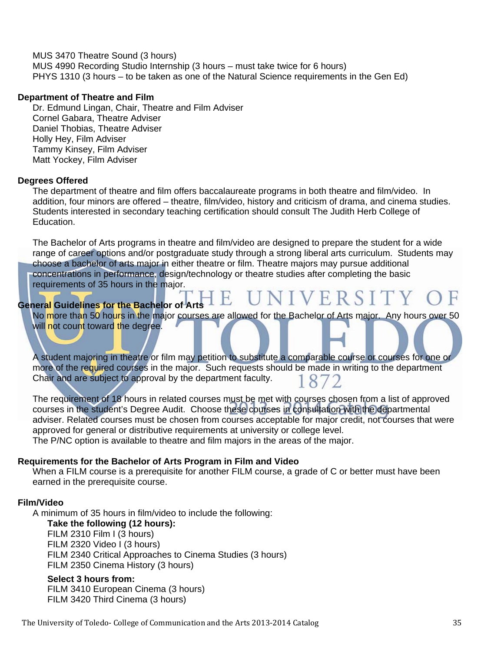MUS 3470 Theatre Sound (3 hours) MUS 4990 Recording Studio Internship (3 hours – must take twice for 6 hours) PHYS 1310 (3 hours – to be taken as one of the Natural Science requirements in the Gen Ed)

#### **Department of Theatre and Film**

Dr. Edmund Lingan, Chair, Theatre and Film Adviser Cornel Gabara, Theatre Adviser Daniel Thobias, Theatre Adviser Holly Hey, Film Adviser Tammy Kinsey, Film Adviser Matt Yockey, Film Adviser

#### **Degrees Offered**

The department of theatre and film offers baccalaureate programs in both theatre and film/video. In addition, four minors are offered – theatre, film/video, history and criticism of drama, and cinema studies. Students interested in secondary teaching certification should consult The Judith Herb College of Education.

The Bachelor of Arts programs in theatre and film/video are designed to prepare the student for a wide range of career options and/or postgraduate study through a strong liberal arts curriculum. Students may choose a bachelor of arts major in either theatre or film. Theatre majors may pursue additional concentrations in performance, design/technology or theatre studies after completing the basic requirements of 35 hours in the major.

#### **General Guidelines for the Bachelor of Arts**

No more than 50 hours in the major courses are allowed for the Bachelor of Arts major. Any hours over 50 will not count toward the degree.

UNIVERSITY

A student majoring in theatre or film may petition to substitute a comparable course or courses for one or more of the required courses in the major. Such requests should be made in writing to the department Chair and are subject to approval by the department faculty.

The requirement of 18 hours in related courses must be met with courses chosen from a list of approved courses in the student's Degree Audit. Choose these courses in consultation with the departmental adviser. Related courses must be chosen from courses acceptable for major credit, not courses that were approved for general or distributive requirements at university or college level. The P/NC option is available to theatre and film majors in the areas of the major.

#### **Requirements for the Bachelor of Arts Program in Film and Video**

When a FILM course is a prerequisite for another FILM course, a grade of C or better must have been earned in the prerequisite course.

#### **Film/Video**

A minimum of 35 hours in film/video to include the following: **Take the following (12 hours):** FILM 2310 Film I (3 hours) FILM 2320 Video I (3 hours) FILM 2340 Critical Approaches to Cinema Studies (3 hours) FILM 2350 Cinema History (3 hours)

#### **Select 3 hours from:**

FILM 3410 European Cinema (3 hours) FILM 3420 Third Cinema (3 hours)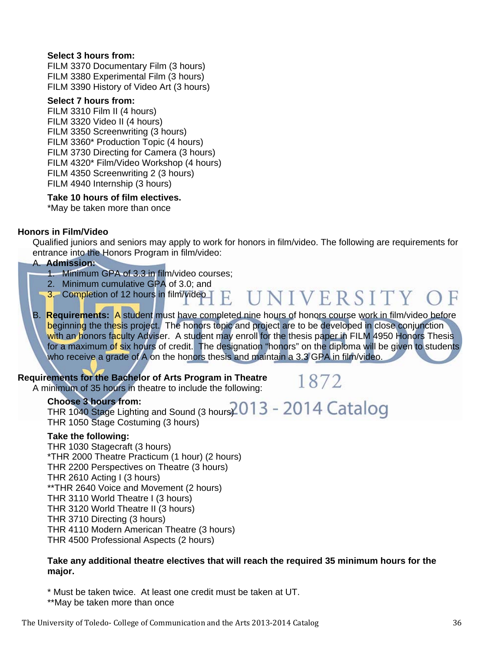#### **Select 3 hours from:**

FILM 3370 Documentary Film (3 hours) FILM 3380 Experimental Film (3 hours) FILM 3390 History of Video Art (3 hours)

#### **Select 7 hours from:**

FILM 3310 Film II (4 hours) FILM 3320 Video II (4 hours) FILM 3350 Screenwriting (3 hours) FILM 3360\* Production Topic (4 hours) FILM 3730 Directing for Camera (3 hours) FILM 4320\* Film/Video Workshop (4 hours) FILM 4350 Screenwriting 2 (3 hours) FILM 4940 Internship (3 hours)

#### **Take 10 hours of film electives.**

\*May be taken more than once

#### **Honors in Film/Video**

Qualified juniors and seniors may apply to work for honors in film/video. The following are requirements for entrance into the Honors Program in film/video:

#### A. **Admission:**

- 1. Minimum GPA of 3.3 in film/video courses;
- 2. Minimum cumulative GPA of 3.0; and
- UNIVERSITY ( 3. Completion of 12 hours in film/video H.
- B. **Requirements:** A student must have completed nine hours of honors course work in film/video before beginning the thesis project. The honors topic and project are to be developed in close conjunction with an honors faculty Adviser. A student may enroll for the thesis paper in FILM 4950 Honors Thesis for a maximum of six hours of credit. The designation "honors" on the diploma will be given to students who receive a grade of A on the honors thesis and maintain a 3.3 GPA in film/video.

#### **Requirements for the Bachelor of Arts Program in Theatre**

A minimum of 35 hours in theatre to include the following:

1872

#### **Choose 3 hours from:** Choose 3 hours from:<br>THR 1040 Stage Lighting and Sound (3 hours)  $2013 - 2014$  Catalog THR 1050 Stage Costuming (3 hours)

#### **Take the following:**

THR 1030 Stagecraft (3 hours) \*THR 2000 Theatre Practicum (1 hour) (2 hours) THR 2200 Perspectives on Theatre (3 hours) THR 2610 Acting I (3 hours) \*\*THR 2640 Voice and Movement (2 hours) THR 3110 World Theatre I (3 hours) THR 3120 World Theatre II (3 hours) THR 3710 Directing (3 hours) THR 4110 Modern American Theatre (3 hours) THR 4500 Professional Aspects (2 hours)

#### **Take any additional theatre electives that will reach the required 35 minimum hours for the major.**

\* Must be taken twice. At least one credit must be taken at UT.

\*\*May be taken more than once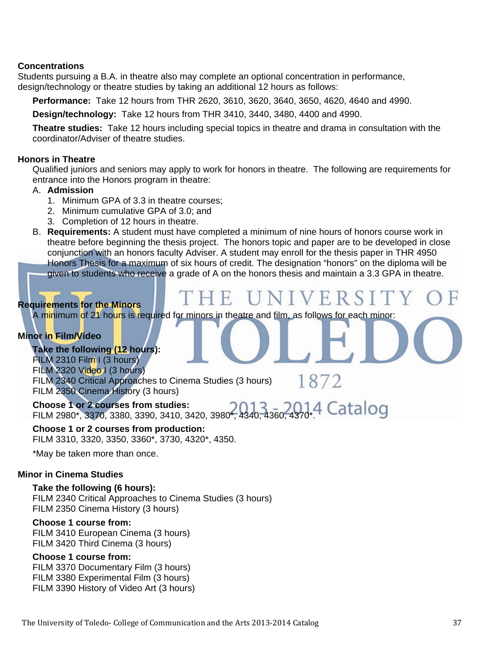#### **Concentrations**

Students pursuing a B.A. in theatre also may complete an optional concentration in performance, design/technology or theatre studies by taking an additional 12 hours as follows:

**Performance:** Take 12 hours from THR 2620, 3610, 3620, 3640, 3650, 4620, 4640 and 4990.

**Design/technology:** Take 12 hours from THR 3410, 3440, 3480, 4400 and 4990.

**Theatre studies:** Take 12 hours including special topics in theatre and drama in consultation with the coordinator/Adviser of theatre studies.

#### **Honors in Theatre**

Qualified juniors and seniors may apply to work for honors in theatre. The following are requirements for entrance into the Honors program in theatre:

#### A. **Admission**

- 1. Minimum GPA of 3.3 in theatre courses;
- 2. Minimum cumulative GPA of 3.0; and
- 3. Completion of 12 hours in theatre.
- B. **Requirements:** A student must have completed a minimum of nine hours of honors course work in theatre before beginning the thesis project. The honors topic and paper are to be developed in close conjunction with an honors faculty Adviser. A student may enroll for the thesis paper in THR 4950 Honors Thesis for a maximum of six hours of credit. The designation "honors" on the diploma will be given to students who receive a grade of A on the honors thesis and maintain a 3.3 GPA in theatre.

THE UNI

#### **Requirements for the Minors**

A minimum of 21 hours is required for minors in theatre and film, as follows for each minor:

#### **Minor in Film/Video**

**Take the following (12 hours):** FILM 2310 Film I (3 hours) FILM 2320 Video I (3 hours) FILM 2340 Critical Approaches to Cinema Studies (3 hours) FILM 2350 Cinema History (3 hours)

1872

VERSIT

**Choose 1 or 2 courses from studies:** FILM 2980\*, 3370, 3380, 3390, 3410, 3420, 3980\*, 4340, 4360, 4370\*.

**Choose 1 or 2 courses from production:** FILM 3310, 3320, 3350, 3360\*, 3730, 4320\*, 4350.

\*May be taken more than once.

#### **Minor in Cinema Studies**

#### **Take the following (6 hours):**

FILM 2340 Critical Approaches to Cinema Studies (3 hours) FILM 2350 Cinema History (3 hours)

#### **Choose 1 course from:**

FILM 3410 European Cinema (3 hours) FILM 3420 Third Cinema (3 hours)

#### **Choose 1 course from:**

FILM 3370 Documentary Film (3 hours) FILM 3380 Experimental Film (3 hours) FILM 3390 History of Video Art (3 hours)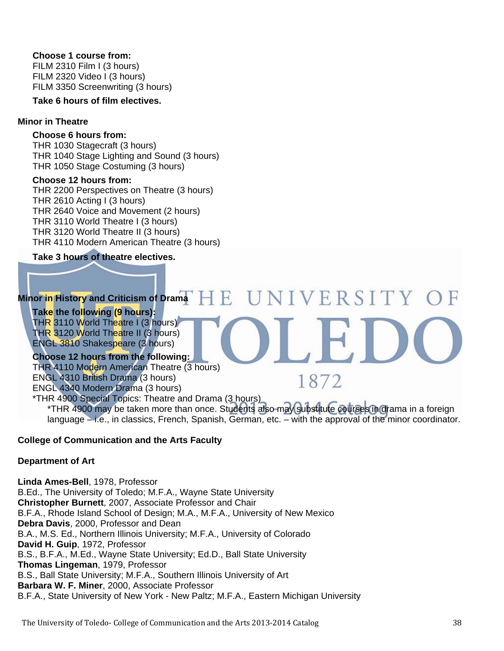#### **Choose 1 course from:**

FILM 2310 Film I (3 hours) FILM 2320 Video I (3 hours) FILM 3350 Screenwriting (3 hours)

**Take 6 hours of film electives.**

#### **Minor in Theatre**

#### **Choose 6 hours from:**

THR 1030 Stagecraft (3 hours) THR 1040 Stage Lighting and Sound (3 hours) THR 1050 Stage Costuming (3 hours)

#### **Choose 12 hours from:**

THR 2200 Perspectives on Theatre (3 hours) THR 2610 Acting I (3 hours) THR 2640 Voice and Movement (2 hours) THR 3110 World Theatre I (3 hours) THR 3120 World Theatre II (3 hours) THR 4110 Modern American Theatre (3 hours)

#### **Take 3 hours of theatre electives.**

#### UNIVERSITY O **Minor in History and Criticism of Drama**  1 E.

#### **Take the following (9 hours):** THR 3110 World Theatre I (3 hours)

THR 3120 World Theatre II (3 hours) ENGL 3810 Shakespeare (3 hours)

#### **Choose 12 hours from the following:**

THR 4110 Modern American Theatre (3 hours) ENGL 4310 British Drama (3 hours) ENGL 4340 Modern Drama (3 hours) \*THR 4900 Special Topics: Theatre and Drama (3 hours)

1872

\*THR 4900 may be taken more than once. Students also may substitute courses in drama in a foreign language – i.e., in classics, French, Spanish, German, etc. – with the approval of the minor coordinator.

#### **College of Communication and the Arts Faculty**

#### **Department of Art**

**Linda Ames-Bell**, 1978, Professor B.Ed., The University of Toledo; M.F.A., Wayne State University **Christopher Burnett**, 2007, Associate Professor and Chair B.F.A., Rhode Island School of Design; M.A., M.F.A., University of New Mexico **Debra Davis**, 2000, Professor and Dean B.A., M.S. Ed., Northern Illinois University; M.F.A., University of Colorado **David H. Guip**, 1972, Professor B.S., B.F.A., M.Ed., Wayne State University; Ed.D., Ball State University **Thomas Lingeman**, 1979, Professor B.S., Ball State University; M.F.A., Southern Illinois University of Art **Barbara W. F. Miner**, 2000, Associate Professor B.F.A., State University of New York - New Paltz; M.F.A., Eastern Michigan University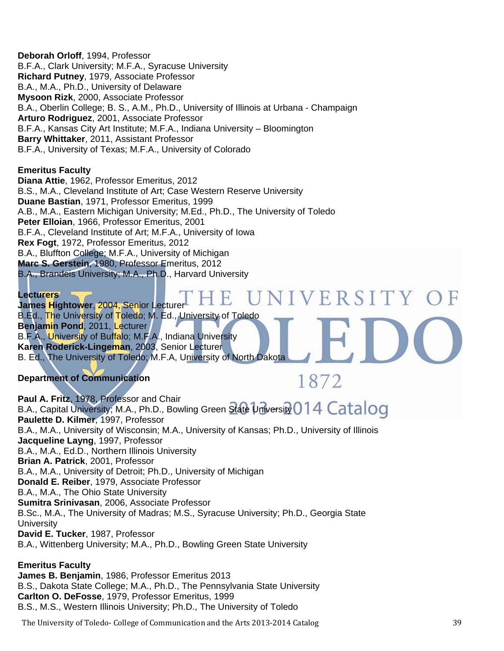**Deborah Orloff**, 1994, Professor B.F.A., Clark University; M.F.A., Syracuse University **Richard Putney**, 1979, Associate Professor B.A., M.A., Ph.D., University of Delaware **Mysoon Rizk**, 2000, Associate Professor B.A., Oberlin College; B. S., A.M., Ph.D., University of Illinois at Urbana - Champaign **Arturo Rodriguez**, 2001, Associate Professor B.F.A., Kansas City Art Institute; M.F.A., Indiana University – Bloomington **Barry Whittaker**, 2011, Assistant Professor B.F.A., University of Texas; M.F.A., University of Colorado

#### **Emeritus Faculty**

**Diana Attie**, 1962, Professor Emeritus, 2012 B.S., M.A., Cleveland Institute of Art; Case Western Reserve University **Duane Bastian**, 1971, Professor Emeritus, 1999 A.B., M.A., Eastern Michigan University; M.Ed., Ph.D., The University of Toledo **Peter Elloian**, 1966, Professor Emeritus, 2001 B.F.A., Cleveland Institute of Art; M.F.A., University of Iowa **Rex Fogt**, 1972, Professor Emeritus, 2012 B.A., Bluffton College; M.F.A., University of Michigan **Marc S. Gerstein**, 1980, Professor Emeritus, 2012 B.A., Brandeis University; M.A., Ph.D., Harvard University 

NIVERSITY OF **Lecturers James Hightower**, 2004, Senior Lecturer B.Ed., The University of Toledo; M. Ed., University of Toledo **Benjamin Pond**, 2011, Lecturer B.F.A., University of Buffalo; M.F.A., Indiana University **Karen Roderick-Lingeman**, 2003, Senior Lecturer B. Ed., The University of Toledo; M.F.A, University of North Dakota

#### **Department of Communication**

1872

**Paul A. Fritz**, 1978, Professor and Chair B.A., Capital University; M.A., Ph.D., Bowling Green State University 014 Catalog **Paulette D. Kilmer**, 1997, Professor B.A., M.A., University of Wisconsin; M.A., University of Kansas; Ph.D., University of Illinois **Jacqueline Layng**, 1997, Professor B.A., M.A., Ed.D., Northern Illinois University **Brian A. Patrick**, 2001, Professor B.A., M.A., University of Detroit; Ph.D., University of Michigan **Donald E. Reiber**, 1979, Associate Professor B.A., M.A., The Ohio State University **Sumitra Srinivasan**, 2006, Associate Professor B.Sc., M.A., The University of Madras; M.S., Syracuse University; Ph.D., Georgia State **University David E. Tucker**, 1987, Professor B.A., Wittenberg University; M.A., Ph.D., Bowling Green State University

**Emeritus Faculty James B. Benjamin**, 1986, Professor Emeritus 2013 B.S., Dakota State College; M.A., Ph.D., The Pennsylvania State University **Carlton O. DeFosse**, 1979, Professor Emeritus, 1999 B.S., M.S., Western Illinois University; Ph.D., The University of Toledo

The University of Toledo- College of Communication and the Arts 2013-2014 Catalog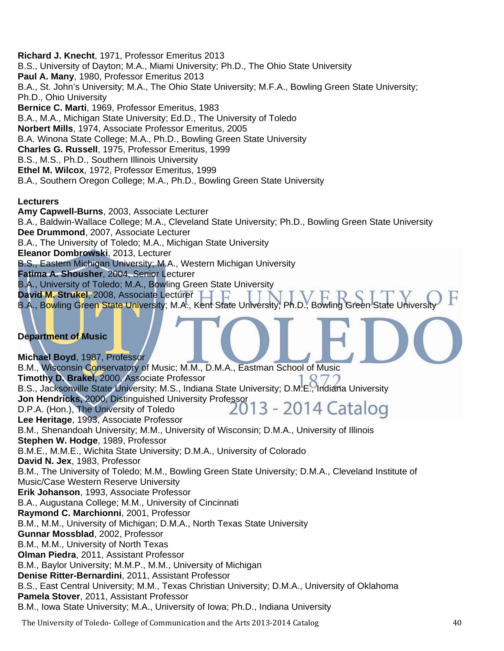**Richard J. Knecht**, 1971, Professor Emeritus 2013 B.S., University of Dayton; M.A., Miami University; Ph.D., The Ohio State University **Paul A. Many**, 1980, Professor Emeritus 2013 B.A., St. John's University; M.A., The Ohio State University; M.F.A., Bowling Green State University; Ph.D., Ohio University **Bernice C. Marti**, 1969, Professor Emeritus, 1983 B.A., M.A., Michigan State University; Ed.D., The University of Toledo **Norbert Mills**, 1974, Associate Professor Emeritus, 2005 B.A. Winona State College; M.A., Ph.D., Bowling Green State University **Charles G. Russell**, 1975, Professor Emeritus, 1999 B.S., M.S., Ph.D., Southern Illinois University **Ethel M. Wilcox**, 1972, Professor Emeritus, 1999 B.A., Southern Oregon College; M.A., Ph.D., Bowling Green State University

#### **Lecturers**

**Amy Capwell-Burns**, 2003, Associate Lecturer B.A., Baldwin-Wallace College; M.A., Cleveland State University; Ph.D., Bowling Green State University **Dee Drummond**, 2007, Associate Lecturer B.A., The University of Toledo; M.A., Michigan State University **Eleanor Dombrowski**, 2013, Lecturer B.S., Eastern Michigan University; M.A., Western Michigan University **Fatima A. Shousher**, 2004, Senior Lecturer B.A., University of Toledo; M.A., Bowling Green State University **David M. Strukel**, 2008, Associate Lecturer B.A., Bowling Green State University; M.A., Kent State University; Ph.D., Bowling Green State University

#### **Department of Music**

**Michael Boyd**, 1987, Professor B.M., Wisconsin Conservatory of Music; M.M., D.M.A., Eastman School of Music **Timothy D. Brakel,** 2000, Associate Professor B.S., Jacksonville State University; M.S., Indiana State University; D.M.E., Indiana University **Jon Hendricks,** 2000, Distinguished University Professor 3 - 2014 Catalog D.P.A. (Hon.), The University of Toledo **Lee Heritage**, 1993, Associate Professor B.M., Shenandoah University; M.M., University of Wisconsin; D.M.A., University of Illinois **Stephen W. Hodge**, 1989, Professor B.M.E., M.M.E., Wichita State University; D.M.A., University of Colorado **David N. Jex**, 1983, Professor B.M., The University of Toledo; M.M., Bowling Green State University; D.M.A., Cleveland Institute of Music/Case Western Reserve University **Erik Johanson**, 1993, Associate Professor B.A., Augustana College; M.M., University of Cincinnati **Raymond C. Marchionni**, 2001, Professor B.M., M.M., University of Michigan; D.M.A., North Texas State University **Gunnar Mossblad**, 2002, Professor B.M., M.M., University of North Texas **Olman Piedra**, 2011, Assistant Professor B.M., Baylor University; M.M.P., M.M., University of Michigan **Denise Ritter-Bernardini**, 2011, Assistant Professor B.S., East Central University; M.M., Texas Christian University; D.M.A., University of Oklahoma **Pamela Stover**, 2011, Assistant Professor B.M., Iowa State University; M.A., University of Iowa; Ph.D., Indiana University

The University of Toledo‐ College of Communication and the Arts 2013‐2014 Catalog 40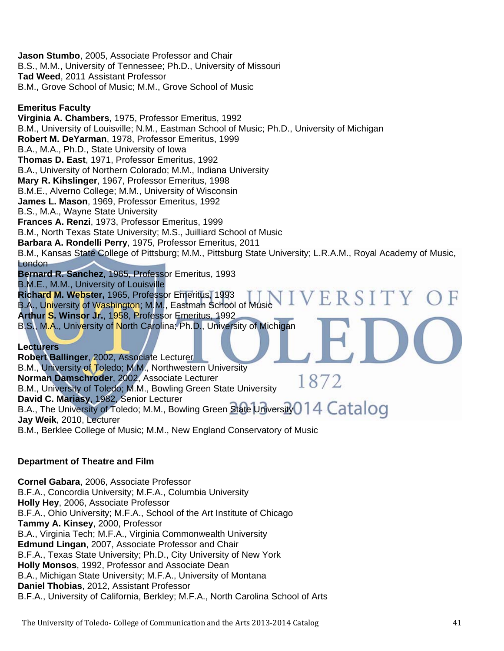**Jason Stumbo**, 2005, Associate Professor and Chair B.S., M.M., University of Tennessee; Ph.D., University of Missouri **Tad Weed**, 2011 Assistant Professor B.M., Grove School of Music; M.M., Grove School of Music

#### **Emeritus Faculty**

**Virginia A. Chambers**, 1975, Professor Emeritus, 1992 B.M., University of Louisville; N.M., Eastman School of Music; Ph.D., University of Michigan **Robert M. DeYarman**, 1978, Professor Emeritus, 1999 B.A., M.A., Ph.D., State University of Iowa **Thomas D. East**, 1971, Professor Emeritus, 1992 B.A., University of Northern Colorado; M.M., Indiana University **Mary R. Kihslinger**, 1967, Professor Emeritus, 1998 B.M.E., Alverno College; M.M., University of Wisconsin **James L. Mason**, 1969, Professor Emeritus, 1992 B.S., M.A., Wayne State University **Frances A. Renzi**, 1973, Professor Emeritus, 1999 B.M., North Texas State University; M.S., Juilliard School of Music **Barbara A. Rondelli Perry**, 1975, Professor Emeritus, 2011 B.M., Kansas State College of Pittsburg; M.M., Pittsburg State University; L.R.A.M., Royal Academy of Music, London **Bernard R. Sanchez**, 1965, Professor Emeritus, 1993 B.M.E., M.M., University of Louisville **Richard M. Webster,** 1965, Professor Emeritus, 1993 IIVERSITY OF B.A., University of Washington; M.M., Eastman School of Music **Arthur S. Winsor Jr.**, 1958, Professor Emeritus, 1992 B.S., M.A., University of North Carolina; Ph.D., University of Michigan **Lecturers**

**Robert Ballinger**, 2002, Associate Lecturer B.M., University of Toledo; M.M., Northwestern University **Norman Damschroder**, 2002, Associate Lecturer 1872 B.M., University of Toledo; M.M., Bowling Green State University **David C. Mariasy**, 1982, Senior Lecturer B.A., The University of Toledo; M.M., Bowling Green State University 0 14 Catalog **Jay Weik**, 2010, Lecturer B.M., Berklee College of Music; M.M., New England Conservatory of Music

#### **Department of Theatre and Film**

**Cornel Gabara**, 2006, Associate Professor B.F.A., Concordia University; M.F.A., Columbia University **Holly Hey**, 2006, Associate Professor B.F.A., Ohio University; M.F.A., School of the Art Institute of Chicago **Tammy A. Kinsey**, 2000, Professor B.A., Virginia Tech; M.F.A., Virginia Commonwealth University **Edmund Lingan**, 2007, Associate Professor and Chair B.F.A., Texas State University; Ph.D., City University of New York **Holly Monsos**, 1992, Professor and Associate Dean B.A., Michigan State University; M.F.A., University of Montana **Daniel Thobias**, 2012, Assistant Professor B.F.A., University of California, Berkley; M.F.A., North Carolina School of Arts